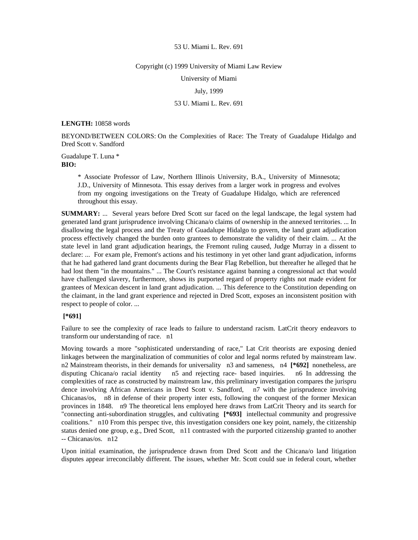### Copyright (c) 1999 University of Miami Law Review

University of Miami

## July, 1999

# 53 U. Miami L. Rev. 691

### **LENGTH:** 10858 words

BEYOND/BETWEEN COLORS: On the Complexities of Race: The Treaty of Guadalupe Hidalgo and Dred Scott v. Sandford

Guadalupe T. Luna \* **BIO:** 

> \* Associate Professor of Law, Northern Illinois University, B.A., University of Minnesota; J.D., University of Minnesota. This essay derives from a larger work in progress and evolves from my ongoing investigations on the Treaty of Guadalupe Hidalgo, which are referenced throughout this essay.

**SUMMARY:** ... Several years before Dred Scott sur faced on the legal landscape, the legal system had generated land grant jurisprudence involving Chicana/o claims of ownership in the annexed territories. ... In disallowing the legal process and the Treaty of Guadalupe Hidalgo to govern, the land grant adjudication process effectively changed the burden onto grantees to demonstrate the validity of their claim. ... At the state level in land grant adjudication hearings, the Fremont ruling caused, Judge Murray in a dissent to declare: ... For exam ple, Fremont's actions and his testimony in yet other land grant adjudication, informs that he had gathered land grant documents during the Bear Flag Rebellion, but thereafter he alleged that he had lost them "in the mountains." ... The Court's resistance against banning a congressional act that would have challenged slavery, furthermore, shows its purported regard of property rights not made evident for grantees of Mexican descent in land grant adjudication. ... This deference to the Constitution depending on the claimant, in the land grant experience and rejected in Dred Scott, exposes an inconsistent position with respect to people of color. ...

## **[\*691]**

Failure to see the complexity of race leads to failure to understand racism. LatCrit theory endeavors to transform our understanding of race. n1

Moving towards a more "sophisticated understanding of race," Lat Crit theorists are exposing denied linkages between the marginalization of communities of color and legal norms refuted by mainstream law. n2 Mainstream theorists, in their demands for universality n3 and sameness, n4 **[\*692]** nonetheless, are disputing Chicana/o racial identity n5 and rejecting race- based inquiries. n6 In addressing the complexities of race as constructed by mainstream law, this preliminary investigation compares the jurispru dence involving African Americans in Dred Scott v. Sandford, n7 with the jurisprudence involving Chicanas/os, n8 in defense of their property inter ests, following the conquest of the former Mexican provinces in 1848. n9 The theoretical lens employed here draws from LatCrit Theory and its search for "connecting anti-subordination struggles, and cultivating **[\*693]** intellectual community and progressive coalitions." n10 From this perspec tive, this investigation considers one key point, namely, the citizenship status denied one group, e.g., Dred Scott, n11 contrasted with the purported citizenship granted to another -- Chicanas/os. n12

Upon initial examination, the jurisprudence drawn from Dred Scott and the Chicana/o land litigation disputes appear irreconcilably different. The issues, whether Mr. Scott could sue in federal court, whether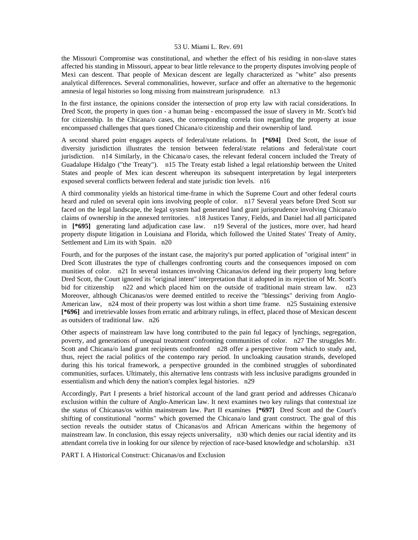the Missouri Compromise was constitutional, and whether the effect of his residing in non-slave states affected his standing in Missouri, appear to bear little relevance to the property disputes involving people of Mexi can descent. That people of Mexican descent are legally characterized as "white" also presents analytical differences. Several commonalities, however, surface and offer an alternative to the hegemonic amnesia of legal histories so long missing from mainstream jurisprudence. n13

In the first instance, the opinions consider the intersection of prop erty law with racial considerations. In Dred Scott, the property in ques tion - a human being - encompassed the issue of slavery in Mr. Scott's bid for citizenship. In the Chicana/o cases, the corresponding correla tion regarding the property at issue encompassed challenges that ques tioned Chicana/o citizenship and their ownership of land.

A second shared point engages aspects of federal/state relations. In **[\*694]** Dred Scott, the issue of diversity jurisdiction illustrates the tension between federal/state relations and federal/state court jurisdiction. n14 Similarly, in the Chicana/o cases, the relevant federal concern included the Treaty of Guadalupe Hidalgo ("the Treaty"). n15 The Treaty estab lished a legal relationship between the United States and people of Mex ican descent whereupon its subsequent interpretation by legal interpreters exposed several conflicts between federal and state jurisdic tion levels. n16

A third commonality yields an historical time-frame in which the Supreme Court and other federal courts heard and ruled on several opin ions involving people of color. n17 Several years before Dred Scott sur faced on the legal landscape, the legal system had generated land grant jurisprudence involving Chicana/o claims of ownership in the annexed territories. n18 Justices Taney, Fields, and Daniel had all participated in **[\*695]** generating land adjudication case law. n19 Several of the justices, more over, had heard property dispute litigation in Louisiana and Florida, which followed the United States' Treaty of Amity, Settlement and Lim its with Spain. n20

Fourth, and for the purposes of the instant case, the majority's pur ported application of "original intent" in Dred Scott illustrates the type of challenges confronting courts and the consequences imposed on com munities of color. n21 In several instances involving Chicanas/os defend ing their property long before Dred Scott, the Court ignored its "original intent" interpretation that it adopted in its rejection of Mr. Scott's bid for citizenship n22 and which placed him on the outside of traditional main stream law. n23 Moreover, although Chicanas/os were deemed entitled to receive the "blessings" deriving from Anglo-American law, n<sup>24</sup> most of their property was lost within a short time frame. n<sup>25</sup> Sustaining extensive **[\*696]** and irretrievable losses from erratic and arbitrary rulings, in effect, placed those of Mexican descent as outsiders of traditional law. n26

Other aspects of mainstream law have long contributed to the pain ful legacy of lynchings, segregation, poverty, and generations of unequal treatment confronting communities of color. n27 The struggles Mr. Scott and Chicana/o land grant recipients confronted n28 offer a perspective from which to study and, thus, reject the racial politics of the contempo rary period. In uncloaking causation strands, developed during this his torical framework, a perspective grounded in the combined struggles of subordinated communities, surfaces. Ultimately, this alternative lens contrasts with less inclusive paradigms grounded in essentialism and which deny the nation's complex legal histories. n29

Accordingly, Part I presents a brief historical account of the land grant period and addresses Chicana/o exclusion within the culture of Anglo-American law. It next examines two key rulings that contextual ize the status of Chicanas/os within mainstream law. Part II examines **[\*697]** Dred Scott and the Court's shifting of constitutional "norms" which governed the Chicana/o land grant construct. The goal of this section reveals the outsider status of Chicanas/os and African Americans within the hegemony of mainstream law. In conclusion, this essay rejects universality, n30 which denies our racial identity and its attendant correla tive in looking for our silence by rejection of race-based knowledge and scholarship. n31

PART I. A Historical Construct: Chicanas/os and Exclusion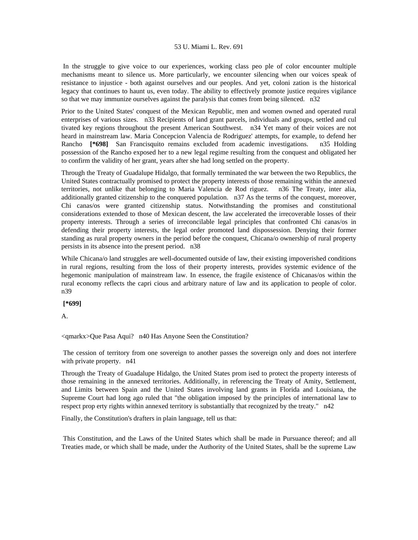In the struggle to give voice to our experiences, working class peo ple of color encounter multiple mechanisms meant to silence us. More particularly, we encounter silencing when our voices speak of resistance to injustice - both against ourselves and our peoples. And yet, coloni zation is the historical legacy that continues to haunt us, even today. The ability to effectively promote justice requires vigilance so that we may immunize ourselves against the paralysis that comes from being silenced. n32

Prior to the United States' conquest of the Mexican Republic, men and women owned and operated rural enterprises of various sizes. n33 Recipients of land grant parcels, individuals and groups, settled and cul tivated key regions throughout the present American Southwest. n34 Yet many of their voices are not heard in mainstream law. Maria Concepcion Valencia de Rodriguez' attempts, for example, to defend her Rancho **[\*698]** San Francisquito remains excluded from academic investigations. n35 Holding possession of the Rancho exposed her to a new legal regime resulting from the conquest and obligated her to confirm the validity of her grant, years after she had long settled on the property.

Through the Treaty of Guadalupe Hidalgo, that formally terminated the war between the two Republics, the United States contractually promised to protect the property interests of those remaining within the annexed territories, not unlike that belonging to Maria Valencia de Rod riguez. n36 The Treaty, inter alia, additionally granted citizenship to the conquered population. n37 As the terms of the conquest, moreover, Chi canas/os were granted citizenship status. Notwithstanding the promises and constitutional considerations extended to those of Mexican descent, the law accelerated the irrecoverable losses of their property interests. Through a series of irreconcilable legal principles that confronted Chi canas/os in defending their property interests, the legal order promoted land dispossession. Denying their former standing as rural property owners in the period before the conquest, Chicana/o ownership of rural property persists in its absence into the present period. n38

While Chicana/o land struggles are well-documented outside of law, their existing impoverished conditions in rural regions, resulting from the loss of their property interests, provides systemic evidence of the hegemonic manipulation of mainstream law. In essence, the fragile existence of Chicanas/os within the rural economy reflects the capri cious and arbitrary nature of law and its application to people of color. n39

 **[\*699]** 

A.

<qmarkx>Que Pasa Aqui? n40 Has Anyone Seen the Constitution?

 The cession of territory from one sovereign to another passes the sovereign only and does not interfere with private property.  $n41$ 

Through the Treaty of Guadalupe Hidalgo, the United States prom ised to protect the property interests of those remaining in the annexed territories. Additionally, in referencing the Treaty of Amity, Settlement, and Limits between Spain and the United States involving land grants in Florida and Louisiana, the Supreme Court had long ago ruled that "the obligation imposed by the principles of international law to respect prop erty rights within annexed territory is substantially that recognized by the treaty." n42

Finally, the Constitution's drafters in plain language, tell us that:

 This Constitution, and the Laws of the United States which shall be made in Pursuance thereof; and all Treaties made, or which shall be made, under the Authority of the United States, shall be the supreme Law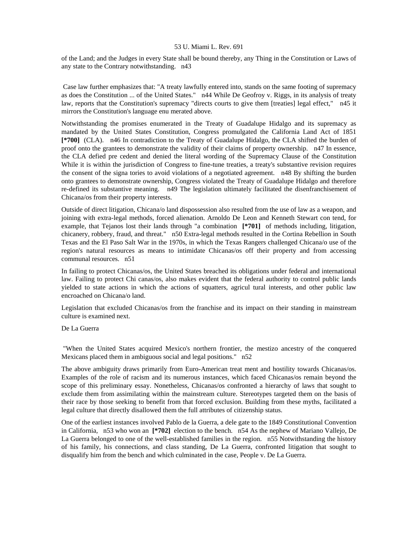of the Land; and the Judges in every State shall be bound thereby, any Thing in the Constitution or Laws of any state to the Contrary notwithstanding. n43

 Case law further emphasizes that: "A treaty lawfully entered into, stands on the same footing of supremacy as does the Constitution ... of the United States." n44 While De Geofroy v. Riggs, in its analysis of treaty law, reports that the Constitution's supremacy "directs courts to give them [treaties] legal effect," n45 it mirrors the Constitution's language enu merated above.

Notwithstanding the promises enumerated in the Treaty of Guadalupe Hidalgo and its supremacy as mandated by the United States Constitution, Congress promulgated the California Land Act of 1851 **[\*700]** (CLA). n46 In contradiction to the Treaty of Guadalupe Hidalgo, the CLA shifted the burden of proof onto the grantees to demonstrate the validity of their claims of property ownership. n47 In essence, the CLA defied pre cedent and denied the literal wording of the Supremacy Clause of the Constitution While it is within the jurisdiction of Congress to fine-tune treaties, a treaty's substantive revision requires the consent of the signa tories to avoid violations of a negotiated agreement. n48 By shifting the burden onto grantees to demonstrate ownership, Congress violated the Treaty of Guadalupe Hidalgo and therefore re-defined its substantive meaning. n49 The legislation ultimately facilitated the disenfranchisement of Chicana/os from their property interests.

Outside of direct litigation, Chicana/o land dispossession also resulted from the use of law as a weapon, and joining with extra-legal methods, forced alienation. Arnoldo De Leon and Kenneth Stewart con tend, for example, that Tejanos lost their lands through "a combination **[\*701]** of methods including, litigation, chicanery, robbery, fraud, and threat." n50 Extra-legal methods resulted in the Cortina Rebellion in South Texas and the El Paso Salt War in the 1970s, in which the Texas Rangers challenged Chicana/o use of the region's natural resources as means to intimidate Chicanas/os off their property and from accessing communal resources. n51

In failing to protect Chicanas/os, the United States breached its obligations under federal and international law. Failing to protect Chi canas/os, also makes evident that the federal authority to control public lands yielded to state actions in which the actions of squatters, agricul tural interests, and other public law encroached on Chicana/o land.

Legislation that excluded Chicanas/os from the franchise and its impact on their standing in mainstream culture is examined next.

# De La Guerra

 "When the United States acquired Mexico's northern frontier, the mestizo ancestry of the conquered Mexicans placed them in ambiguous social and legal positions." n52

The above ambiguity draws primarily from Euro-American treat ment and hostility towards Chicanas/os. Examples of the role of racism and its numerous instances, which faced Chicanas/os remain beyond the scope of this preliminary essay. Nonetheless, Chicanas/os confronted a hierarchy of laws that sought to exclude them from assimilating within the mainstream culture. Stereotypes targeted them on the basis of their race by those seeking to benefit from that forced exclusion. Building from these myths, facilitated a legal culture that directly disallowed them the full attributes of citizenship status.

One of the earliest instances involved Pablo de la Guerra, a dele gate to the 1849 Constitutional Convention in California, n53 who won an **[\*702]** election to the bench. n54 As the nephew of Mariano Vallejo, De La Guerra belonged to one of the well-established families in the region. n55 Notwithstanding the history of his family, his connections, and class standing, De La Guerra, confronted litigation that sought to disqualify him from the bench and which culminated in the case, People v. De La Guerra.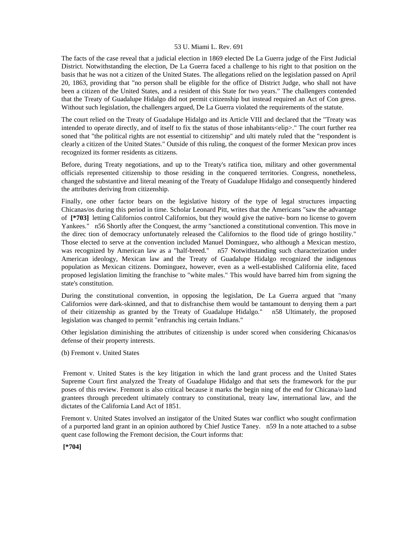The facts of the case reveal that a judicial election in 1869 elected De La Guerra judge of the First Judicial District. Notwithstanding the election, De La Guerra faced a challenge to his right to that position on the basis that he was not a citizen of the United States. The allegations relied on the legislation passed on April 20, 1863, providing that "no person shall be eligible for the office of District Judge, who shall not have been a citizen of the United States, and a resident of this State for two years." The challengers contended that the Treaty of Guadalupe Hidalgo did not permit citizenship but instead required an Act of Con gress. Without such legislation, the challengers argued, De La Guerra violated the requirements of the statute.

The court relied on the Treaty of Guadalupe Hidalgo and its Article VIII and declared that the "Treaty was intended to operate directly, and of itself to fix the status of those inhabitants<elip>." The court further rea soned that "the political rights are not essential to citizenship" and ulti mately ruled that the "respondent is clearly a citizen of the United States." Outside of this ruling, the conquest of the former Mexican prov inces recognized its former residents as citizens.

Before, during Treaty negotiations, and up to the Treaty's ratifica tion, military and other governmental officials represented citizenship to those residing in the conquered territories. Congress, nonetheless, changed the substantive and literal meaning of the Treaty of Guadalupe Hidalgo and consequently hindered the attributes deriving from citizenship.

Finally, one other factor bears on the legislative history of the type of legal structures impacting Chicanas/os during this period in time. Scholar Leonard Pitt, writes that the Americans "saw the advantage of **[\*703]** letting Californios control Californios, but they would give the native- born no license to govern Yankees." n56 Shortly after the Conquest, the army "sanctioned a constitutional convention. This move in the direc tion of democracy unfortunately released the Californios to the flood tide of gringo hostility." Those elected to serve at the convention included Manuel Dominguez, who although a Mexican mestizo, was recognized by American law as a "half-breed." n57 Notwithstanding such characterization under American ideology, Mexican law and the Treaty of Guadalupe Hidalgo recognized the indigenous population as Mexican citizens. Dominguez, however, even as a well-established California elite, faced proposed legislation limiting the franchise to "white males." This would have barred him from signing the state's constitution.

During the constitutional convention, in opposing the legislation, De La Guerra argued that "many Californios were dark-skinned, and that to disfranchise them would be tantamount to denying them a part of their citizenship as granted by the Treaty of Guadalupe Hidalgo." n58 Ultimately, the proposed legislation was changed to permit "enfranchis ing certain Indians."

Other legislation diminishing the attributes of citizenship is under scored when considering Chicanas/os defense of their property interests.

(b) Fremont v. United States

 Fremont v. United States is the key litigation in which the land grant process and the United States Supreme Court first analyzed the Treaty of Guadalupe Hidalgo and that sets the framework for the pur poses of this review. Fremont is also critical because it marks the begin ning of the end for Chicana/o land grantees through precedent ultimately contrary to constitutional, treaty law, international law, and the dictates of the California Land Act of 1851.

Fremont v. United States involved an instigator of the United States war conflict who sought confirmation of a purported land grant in an opinion authored by Chief Justice Taney. n59 In a note attached to a subse quent case following the Fremont decision, the Court informs that:

 **[\*704]**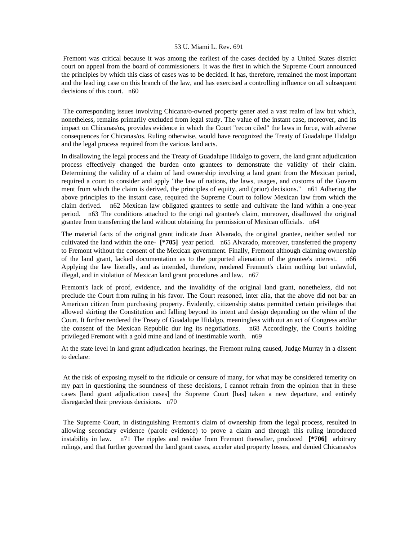Fremont was critical because it was among the earliest of the cases decided by a United States district court on appeal from the board of commissioners. It was the first in which the Supreme Court announced the principles by which this class of cases was to be decided. It has, therefore, remained the most important and the lead ing case on this branch of the law, and has exercised a controlling influence on all subsequent decisions of this court. n60

 The corresponding issues involving Chicana/o-owned property gener ated a vast realm of law but which, nonetheless, remains primarily excluded from legal study. The value of the instant case, moreover, and its impact on Chicanas/os, provides evidence in which the Court "recon ciled" the laws in force, with adverse consequences for Chicanas/os. Ruling otherwise, would have recognized the Treaty of Guadalupe Hidalgo and the legal process required from the various land acts.

In disallowing the legal process and the Treaty of Guadalupe Hidalgo to govern, the land grant adjudication process effectively changed the burden onto grantees to demonstrate the validity of their claim. Determining the validity of a claim of land ownership involving a land grant from the Mexican period, required a court to consider and apply "the law of nations, the laws, usages, and customs of the Govern ment from which the claim is derived, the principles of equity, and (prior) decisions." n61 Adhering the above principles to the instant case, required the Supreme Court to follow Mexican law from which the claim derived. n62 Mexican law obligated grantees to settle and cultivate the land within a one-year period. n63 The conditions attached to the origi nal grantee's claim, moreover, disallowed the original grantee from transferring the land without obtaining the permission of Mexican officials. n64

The material facts of the original grant indicate Juan Alvarado, the original grantee, neither settled nor cultivated the land within the one- **[\*705]** year period. n65 Alvarado, moreover, transferred the property to Fremont without the consent of the Mexican government. Finally, Fremont although claiming ownership of the land grant, lacked documentation as to the purported alienation of the grantee's interest. n66 Applying the law literally, and as intended, therefore, rendered Fremont's claim nothing but unlawful, illegal, and in violation of Mexican land grant procedures and law. n67

Fremont's lack of proof, evidence, and the invalidity of the original land grant, nonetheless, did not preclude the Court from ruling in his favor. The Court reasoned, inter alia, that the above did not bar an American citizen from purchasing property. Evidently, citizenship status permitted certain privileges that allowed skirting the Constitution and falling beyond its intent and design depending on the whim of the Court. It further rendered the Treaty of Guadalupe Hidalgo, meaningless with out an act of Congress and/or the consent of the Mexican Republic dur ing its negotiations. n68 Accordingly, the Court's holding privileged Fremont with a gold mine and land of inestimable worth. n69

At the state level in land grant adjudication hearings, the Fremont ruling caused, Judge Murray in a dissent to declare:

 At the risk of exposing myself to the ridicule or censure of many, for what may be considered temerity on my part in questioning the soundness of these decisions, I cannot refrain from the opinion that in these cases [land grant adjudication cases] the Supreme Court [has] taken a new departure, and entirely disregarded their previous decisions. n70

 The Supreme Court, in distinguishing Fremont's claim of ownership from the legal process, resulted in allowing secondary evidence (parole evidence) to prove a claim and through this ruling introduced instability in law. n71 The ripples and residue from Fremont thereafter, produced **[\*706]** arbitrary rulings, and that further governed the land grant cases, acceler ated property losses, and denied Chicanas/os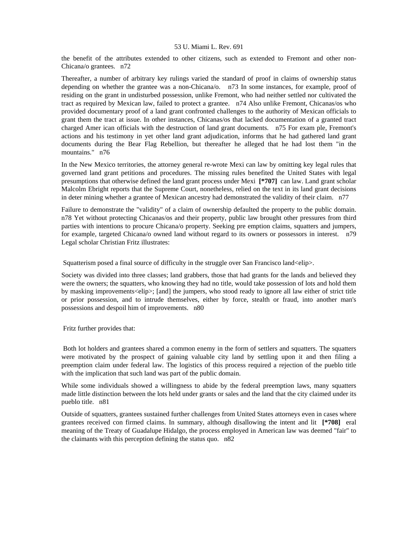the benefit of the attributes extended to other citizens, such as extended to Fremont and other non-Chicana/o grantees. n72

Thereafter, a number of arbitrary key rulings varied the standard of proof in claims of ownership status depending on whether the grantee was a non-Chicana/o. n73 In some instances, for example, proof of residing on the grant in undisturbed possession, unlike Fremont, who had neither settled nor cultivated the tract as required by Mexican law, failed to protect a grantee. n74 Also unlike Fremont, Chicanas/os who provided documentary proof of a land grant confronted challenges to the authority of Mexican officials to grant them the tract at issue. In other instances, Chicanas/os that lacked documentation of a granted tract charged Amer ican officials with the destruction of land grant documents. n75 For exam ple, Fremont's actions and his testimony in yet other land grant adjudication, informs that he had gathered land grant documents during the Bear Flag Rebellion, but thereafter he alleged that he had lost them "in the mountains." n76

In the New Mexico territories, the attorney general re-wrote Mexi can law by omitting key legal rules that governed land grant petitions and procedures. The missing rules benefited the United States with legal presumptions that otherwise defined the land grant process under Mexi **[\*707]** can law. Land grant scholar Malcolm Ebright reports that the Supreme Court, nonetheless, relied on the text in its land grant decisions in deter mining whether a grantee of Mexican ancestry had demonstrated the validity of their claim. n77

Failure to demonstrate the "validity" of a claim of ownership defaulted the property to the public domain. n78 Yet without protecting Chicanas/os and their property, public law brought other pressures from third parties with intentions to procure Chicana/o property. Seeking pre emption claims, squatters and jumpers, for example, targeted Chicana/o owned land without regard to its owners or possessors in interest. n79 Legal scholar Christian Fritz illustrates:

Squatterism posed a final source of difficulty in the struggle over San Francisco land<elip>.

Society was divided into three classes; land grabbers, those that had grants for the lands and believed they were the owners; the squatters, who knowing they had no title, would take possession of lots and hold them by masking improvements<elip>; [and] the jumpers, who stood ready to ignore all law either of strict title or prior possession, and to intrude themselves, either by force, stealth or fraud, into another man's possessions and despoil him of improvements. n80

Fritz further provides that:

 Both lot holders and grantees shared a common enemy in the form of settlers and squatters. The squatters were motivated by the prospect of gaining valuable city land by settling upon it and then filing a preemption claim under federal law. The logistics of this process required a rejection of the pueblo title with the implication that such land was part of the public domain.

While some individuals showed a willingness to abide by the federal preemption laws, many squatters made little distinction between the lots held under grants or sales and the land that the city claimed under its pueblo title. n81

Outside of squatters, grantees sustained further challenges from United States attorneys even in cases where grantees received con firmed claims. In summary, although disallowing the intent and lit **[\*708]** eral meaning of the Treaty of Guadalupe Hidalgo, the process employed in American law was deemed "fair" to the claimants with this perception defining the status quo. n82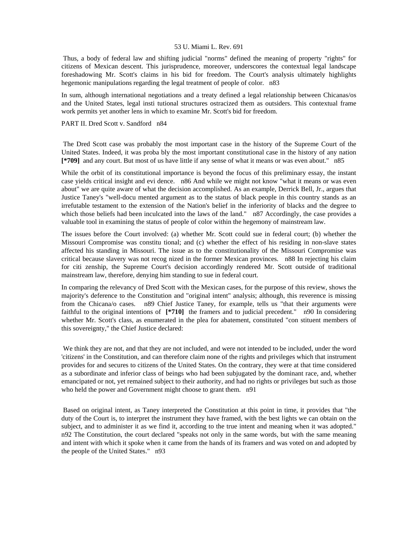Thus, a body of federal law and shifting judicial "norms" defined the meaning of property "rights" for citizens of Mexican descent. This jurisprudence, moreover, underscores the contextual legal landscape foreshadowing Mr. Scott's claims in his bid for freedom. The Court's analysis ultimately highlights hegemonic manipulations regarding the legal treatment of people of color. n83

In sum, although international negotiations and a treaty defined a legal relationship between Chicanas/os and the United States, legal insti tutional structures ostracized them as outsiders. This contextual frame work permits yet another lens in which to examine Mr. Scott's bid for freedom.

## PART II. Dred Scott v. Sandford n84

 The Dred Scott case was probably the most important case in the history of the Supreme Court of the United States. Indeed, it was proba bly the most important constitutional case in the history of any nation **[\*709]** and any court. But most of us have little if any sense of what it means or was even about." n85

While the orbit of its constitutional importance is beyond the focus of this preliminary essay, the instant case yields critical insight and evi dence. n86 And while we might not know "what it means or was even about" we are quite aware of what the decision accomplished. As an example, Derrick Bell, Jr., argues that Justice Taney's "well-docu mented argument as to the status of black people in this country stands as an irrefutable testament to the extension of the Nation's belief in the inferiority of blacks and the degree to which those beliefs had been inculcated into the laws of the land." n87 Accordingly, the case provides a valuable tool in examining the status of people of color within the hegemony of mainstream law.

The issues before the Court involved: (a) whether Mr. Scott could sue in federal court; (b) whether the Missouri Compromise was constitu tional; and (c) whether the effect of his residing in non-slave states affected his standing in Missouri. The issue as to the constitutionality of the Missouri Compromise was critical because slavery was not recog nized in the former Mexican provinces. n88 In rejecting his claim for citi zenship, the Supreme Court's decision accordingly rendered Mr. Scott outside of traditional mainstream law, therefore, denying him standing to sue in federal court.

In comparing the relevancy of Dred Scott with the Mexican cases, for the purpose of this review, shows the majority's deference to the Constitution and "original intent" analysis; although, this reverence is missing from the Chicana/o cases. n89 Chief Justice Taney, for example, tells us "that their arguments were faithful to the original intentions of **[\*710]** the framers and to judicial precedent." n90 In considering whether Mr. Scott's class, as enumerated in the plea for abatement, constituted "con stituent members of this sovereignty," the Chief Justice declared:

 We think they are not, and that they are not included, and were not intended to be included, under the word 'citizens' in the Constitution, and can therefore claim none of the rights and privileges which that instrument provides for and secures to citizens of the United States. On the contrary, they were at that time considered as a subordinate and inferior class of beings who had been subjugated by the dominant race, and, whether emancipated or not, yet remained subject to their authority, and had no rights or privileges but such as those who held the power and Government might choose to grant them. n91

 Based on original intent, as Taney interpreted the Constitution at this point in time, it provides that "the duty of the Court is, to interpret the instrument they have framed, with the best lights we can obtain on the subject, and to administer it as we find it, according to the true intent and meaning when it was adopted." n92 The Constitution, the court declared "speaks not only in the same words, but with the same meaning and intent with which it spoke when it came from the hands of its framers and was voted on and adopted by the people of the United States." n93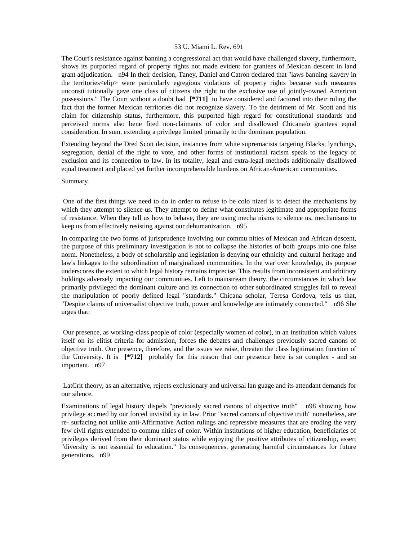The Court's resistance against banning a congressional act that would have challenged slavery, furthermore, shows its purported regard of property rights not made evident for grantees of Mexican descent in land grant adjudication. n94 In their decision, Taney, Daniel and Catron declared that "laws banning slavery in the territories<elip> were particularly egregious violations of property rights because such measures unconsti tutionally gave one class of citizens the right to the exclusive use of jointly-owned American possessions." The Court without a doubt had **[\*711]** to have considered and factored into their ruling the fact that the former Mexican territories did not recognize slavery. To the detriment of Mr. Scott and his claim for citizenship status, furthermore, this purported high regard for constitutional standards and perceived norms also bene fited non-claimants of color and disallowed Chicana/o grantees equal consideration. In sum, extending a privilege limited primarily to the dominant population.

Extending beyond the Dred Scott decision, instances from white supremacists targeting Blacks, lynchings, segregation, denial of the right to vote, and other forms of institutional racism speak to the legacy of exclusion and its connection to law. In its totality, legal and extra-legal methods additionally disallowed equal treatment and placed yet further incomprehensible burdens on African-American communities.

#### Summary

 One of the first things we need to do in order to refuse to be colo nized is to detect the mechanisms by which they attempt to silence us. They attempt to define what constitutes legitimate and appropriate forms of resistance. When they tell us how to behave, they are using mecha nisms to silence us, mechanisms to keep us from effectively resisting against our dehumanization. n95

In comparing the two forms of jurisprudence involving our commu nities of Mexican and African descent, the purpose of this preliminary investigation is not to collapse the histories of both groups into one false norm. Nonetheless, a body of scholarship and legislation is denying our ethnicity and cultural heritage and law's linkages to the subordination of marginalized communities. In the war over knowledge, its purpose underscores the extent to which legal history remains imprecise. This results from inconsistent and arbitrary holdings adversely impacting our communities. Left to mainstream theory, the circumstances in which law primarily privileged the dominant culture and its connection to other subordinated struggles fail to reveal the manipulation of poorly defined legal "standards." Chicana scholar, Teresa Cordova, tells us that, "Despite claims of universalist objective truth, power and knowledge are intimately connected." n96 She urges that:

 Our presence, as working-class people of color (especially women of color), in an institution which values itself on its elitist criteria for admission, forces the debates and challenges previously sacred canons of objective truth. Our presence, therefore, and the issues we raise, threaten the class legitimation function of the University. It is **[\*712]** probably for this reason that our presence here is so complex - and so important. n97

 LatCrit theory, as an alternative, rejects exclusionary and universal lan guage and its attendant demands for our silence.

Examinations of legal history dispels "previously sacred canons of objective truth" n98 showing how privilege accrued by our forced invisibil ity in law. Prior "sacred canons of objective truth" nonetheless, are re- surfacing not unlike anti-Affirmative Action rulings and repressive measures that are eroding the very few civil rights extended to commu nities of color. Within institutions of higher education, beneficiaries of privileges derived from their dominant status while enjoying the positive attributes of citizenship, assert "diversity is not essential to education." Its consequences, generating harmful circumstances for future generations. n99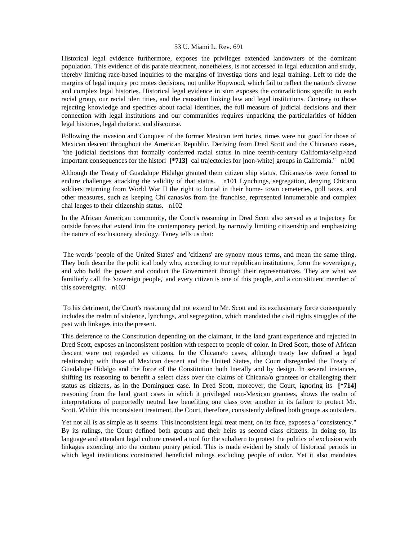Historical legal evidence furthermore, exposes the privileges extended landowners of the dominant population. This evidence of dis parate treatment, nonetheless, is not accessed in legal education and study, thereby limiting race-based inquiries to the margins of investiga tions and legal training. Left to ride the margins of legal inquiry pro motes decisions, not unlike Hopwood, which fail to reflect the nation's diverse and complex legal histories. Historical legal evidence in sum exposes the contradictions specific to each racial group, our racial iden tities, and the causation linking law and legal institutions. Contrary to those rejecting knowledge and specifics about racial identities, the full measure of judicial decisions and their connection with legal institutions and our communities requires unpacking the particularities of hidden legal histories, legal rhetoric, and discourse.

Following the invasion and Conquest of the former Mexican terri tories, times were not good for those of Mexican descent throughout the American Republic. Deriving from Dred Scott and the Chicana/o cases, "the judicial decisions that formally conferred racial status in nine teenth-century California<elip>had important consequences for the histori **[\*713]** cal trajectories for [non-white] groups in California." n100

Although the Treaty of Guadalupe Hidalgo granted them citizen ship status, Chicanas/os were forced to endure challenges attacking the validity of that status. n101 Lynchings, segregation, denying Chicano soldiers returning from World War II the right to burial in their home- town cemeteries, poll taxes, and other measures, such as keeping Chi canas/os from the franchise, represented innumerable and complex chal lenges to their citizenship status. n102

In the African American community, the Court's reasoning in Dred Scott also served as a trajectory for outside forces that extend into the contemporary period, by narrowly limiting citizenship and emphasizing the nature of exclusionary ideology. Taney tells us that:

 The words 'people of the United States' and 'citizens' are synony mous terms, and mean the same thing. They both describe the polit ical body who, according to our republican institutions, form the sovereignty, and who hold the power and conduct the Government through their representatives. They are what we familiarly call the 'sovereign people,' and every citizen is one of this people, and a con stituent member of this sovereignty. n103

 To his detriment, the Court's reasoning did not extend to Mr. Scott and its exclusionary force consequently includes the realm of violence, lynchings, and segregation, which mandated the civil rights struggles of the past with linkages into the present.

This deference to the Constitution depending on the claimant, in the land grant experience and rejected in Dred Scott, exposes an inconsistent position with respect to people of color. In Dred Scott, those of African descent were not regarded as citizens. In the Chicana/o cases, although treaty law defined a legal relationship with those of Mexican descent and the United States, the Court disregarded the Treaty of Guadalupe Hidalgo and the force of the Constitution both literally and by design. In several instances, shifting its reasoning to benefit a select class over the claims of Chicana/o grantees or challenging their status as citizens, as in the Dominguez case. In Dred Scott, moreover, the Court, ignoring its **[\*714]**  reasoning from the land grant cases in which it privileged non-Mexican grantees, shows the realm of interpretations of purportedly neutral law benefiting one class over another in its failure to protect Mr. Scott. Within this inconsistent treatment, the Court, therefore, consistently defined both groups as outsiders.

Yet not all is as simple as it seems. This inconsistent legal treat ment, on its face, exposes a "consistency." By its rulings, the Court defined both groups and their heirs as second class citizens. In doing so, its language and attendant legal culture created a tool for the subaltern to protest the politics of exclusion with linkages extending into the contem porary period. This is made evident by study of historical periods in which legal institutions constructed beneficial rulings excluding people of color. Yet it also mandates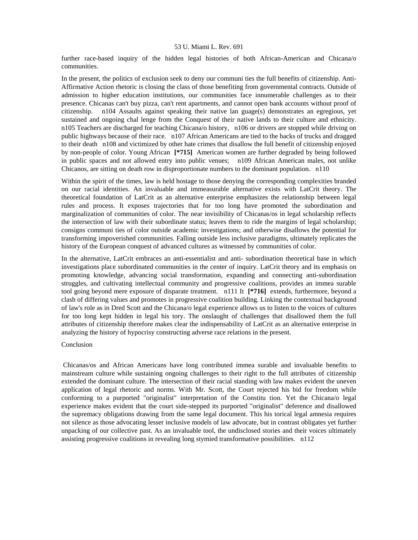further race-based inquiry of the hidden legal histories of both African-American and Chicana/o communities.

In the present, the politics of exclusion seek to deny our communi ties the full benefits of citizenship. Anti-Affirmative Action rhetoric is closing the class of those benefiting from governmental contracts. Outside of admission to higher education institutions, our communities face innumerable challenges as to their presence. Chicanas can't buy pizza, can't rent apartments, and cannot open bank accounts without proof of citizenship. n104 Assaults against speaking their native lan guage(s) demonstrates an egregious, yet sustained and ongoing chal lenge from the Conquest of their native lands to their culture and ethnicity. n105 Teachers are discharged for teaching Chicana/o history, n106 or drivers are stopped while driving on public highways because of their race. n107 African Americans are tied to the backs of trucks and dragged to their death n108 and victimized by other hate crimes that disallow the full benefit of citizenship enjoyed by non-people of color. Young African **[\*715]** American women are further degraded by being followed in public spaces and not allowed entry into public venues; n109 African American males, not unlike Chicanos, are sitting on death row in disproportionate numbers to the dominant population. n110

Within the spirit of the times, law is held hostage to those denying the corresponding complexities branded on our racial identities. An invaluable and immeasurable alternative exists with LatCrit theory. The theoretical foundation of LatCrit as an alternative enterprise emphasizes the relationship between legal rules and process. It exposes trajectories that for too long have promoted the subordination and marginalization of communities of color. The near invisibility of Chicanas/os in legal scholarship reflects the intersection of law with their subordinate status; leaves them to ride the margins of legal scholarship; consigns communi ties of color outside academic investigations; and otherwise disallows the potential for transforming impoverished communities. Falling outside less inclusive paradigms, ultimately replicates the history of the European conquest of advanced cultures as witnessed by communities of color.

In the alternative, LatCrit embraces an anti-essentialist and anti- subordination theoretical base in which investigations place subordinated communities in the center of inquiry. LatCrit theory and its emphasis on promoting knowledge, advancing social transformation, expanding and connecting anti-subordination struggles, and cultivating intellectual community and progressive coalitions, provides an immea surable tool going beyond mere exposure of disparate treatment. n111 It **[\*716]** extends, furthermore, beyond a clash of differing values and promotes in progressive coalition building. Linking the contextual background of law's role as in Dred Scott and the Chicana/o legal experience allows us to listen to the voices of cultures for too long kept hidden in legal his tory. The onslaught of challenges that disallowed them the full attributes of citizenship therefore makes clear the indispensability of LatCrit as an alternative enterprise in analyzing the history of hypocrisy constructing adverse race relations in the present.

# Conclusion

 Chicanas/os and African Americans have long contributed immea surable and invaluable benefits to mainstream culture while sustaining ongoing challenges to their right to the full attributes of citizenship extended the dominant culture. The intersection of their racial standing with law makes evident the uneven application of legal rhetoric and norms. With Mr. Scott, the Court rejected his bid for freedom while conforming to a purported "originalist" interpretation of the Constitu tion. Yet the Chicana/o legal experience makes evident that the court side-stepped its purported "originalist" deference and disallowed the supremacy obligations drawing from the same legal document. This his torical legal amnesia requires not silence as those advocating lesser inclusive models of law advocate, but in contrast obligates yet further unpacking of our collective past. As an invaluable tool, the undisclosed stories and their voices ultimately assisting progressive coalitions in revealing long stymied transformative possibilities. n112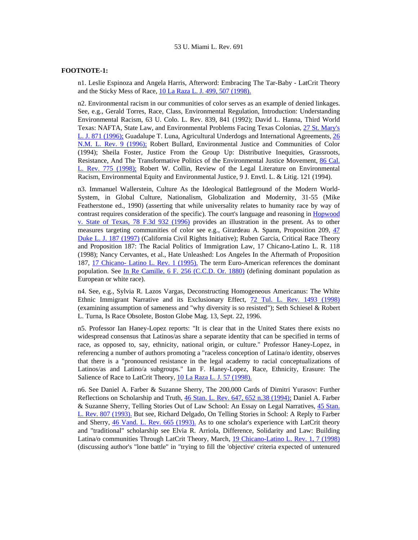# **FOOTNOTE-1:**

n1. Leslie Espinoza and Angela Harris, Afterword: Embracing The Tar-Baby - LatCrit Theory and the Sticky Mess of Race, [10 La Raza L. J. 499, 507 \(1998\).](http://www.lexis.com/research/xlink?searchtype=get&search=10%20La%20Raza%20L.J.%20499,at%20507)

n2. Environmental racism in our communities of color serves as an example of denied linkages. See, e.g., Gerald Torres, Race, Class, Environmental Regulation, Introduction: Understanding Environmental Racism, 63 U. Colo. L. Rev. 839, 841 (1992); David L. Hanna, Third World Texas: NAFTA, State Law, and Environmental Problems Facing Texas Colonias, [27 St. Mary's](http://www.lexis.com/research/xlink?searchtype=get&search=27%20St.%20Mary)  [L. J. 871 \(1996\);](http://www.lexis.com/research/xlink?searchtype=get&search=27%20St.%20Mary) Guadalupe T. Luna, Agricultural Underdogs and International Agreements, [26](http://www.lexis.com/research/xlink?searchtype=get&search=26%20N.M.L.%20Rev.%209)  [N.M. L. Rev. 9 \(1996\);](http://www.lexis.com/research/xlink?searchtype=get&search=26%20N.M.L.%20Rev.%209) Robert Bullard, Environmental Justice and Communities of Color (1994); Sheila Foster, Justice From the Group Up: Distributive Inequities, Grassroots, Resistance, And The Transformative Politics of the Environmental Justice Movement, [86 Cal.](http://www.lexis.com/research/xlink?searchtype=get&search=86%20Calif.%20L.%20Rev.%20775)  [L. Rev. 775 \(1998\);](http://www.lexis.com/research/xlink?searchtype=get&search=86%20Calif.%20L.%20Rev.%20775) Robert W. Collin, Review of the Legal Literature on Environmental Racism, Environmental Equity and Environmental Justice, 9 J. Envtl. L. & Litig. 121 (1994).

n3. Immanuel Wallerstein, Culture As the Ideological Battleground of the Modern World-System, in Global Culture, Nationalism, Globalization and Modernity, 31-55 (Mike Featherstone ed., 1990) (asserting that while universality relates to humanity race by way of contrast requires consideration of the specific). The court's language and reasoning in [Hopwood](http://www.lexis.com/research/xlink?searchtype=get&search=78%20F.3d%20932)  [v. State of Texas, 78 F.3d 932 \(1996\)](http://www.lexis.com/research/xlink?searchtype=get&search=78%20F.3d%20932) provides an illustration in the present. As to other measures targeting communities of color see e.g., Girardeau A. Spann, Proposition 209, [47](http://www.lexis.com/research/xlink?searchtype=get&search=47%20Duke%20L.J.%20187)  [Duke L. J. 187 \(1997\)](http://www.lexis.com/research/xlink?searchtype=get&search=47%20Duke%20L.J.%20187) (California Civil Rights Initiative); Ruben Garcia, Critical Race Theory and Proposition 187: The Racial Politics of Immigration Law, 17 Chicano-Latino L. R. 118 (1998); Nancy Cervantes, et al., Hate Unleashed: Los Angeles In the Aftermath of Proposition 187, [17 Chicano- Latino L. Rev. 1 \(1995\).](http://www.lexis.com/research/xlink?searchtype=get&search=17%20Chicano-Latino%20L.%20Rev.%201) The term Euro-American references the dominant population. See [In Re Camille, 6 F. 256 \(C.C.D. Or. 1880\)](http://www.lexis.com/research/xlink?searchtype=get&search=6%20F.%20256) (defining dominant population as European or white race).

n4. See, e.g., Sylvia R. Lazos Vargas, Deconstructing Homogeneous Americanus: The White Ethnic Immigrant Narrative and its Exclusionary Effect, [72 Tul. L. Rev. 1493 \(1998\)](http://www.lexis.com/research/xlink?searchtype=get&search=72%20Tul.%20L.%20Rev.%201493) (examining assumption of sameness and "why diversity is so resisted"); Seth Schiesel & Robert L. Turna, Is Race Obsolete, Boston Globe Mag. 13, Sept. 22, 1996.

n5. Professor Ian Haney-Lopez reports: "It is clear that in the United States there exists no widespread consensus that Latinos/as share a separate identity that can be specified in terms of race, as opposed to, say, ethnicity, national origin, or culture." Professor Haney-Lopez, in referencing a number of authors promoting a "raceless conception of Latina/o identity, observes that there is a "pronounced resistance in the legal academy to racial conceptualizations of Latinos/as and Latino/a subgroups." Ian F. Haney-Lopez, Race, Ethnicity, Erasure: The Salience of Race to LatCrit Theory, [10 La Raza L. J. 57 \(1998\).](http://www.lexis.com/research/xlink?searchtype=get&search=10%20La%20Raza%20L.J.%2057)

n6. See Daniel A. Farber & Suzanne Sherry, The 200,000 Cards of Dimitri Yurasov: Further Reflections on Scholarship and Truth, [46 Stan. L. Rev. 647, 652 n.38 \(1994\);](http://www.lexis.com/research/xlink?searchtype=get&search=46%20Stan.%20L.%20Rev.%20647,at%20652) Daniel A. Farber & Suzanne Sherry, Telling Stories Out of Law School: An Essay on Legal Narratives, [45 Stan.](http://www.lexis.com/research/xlink?searchtype=get&search=45%20Stan.%20L.%20Rev.%20807)  [L. Rev. 807 \(1993\).](http://www.lexis.com/research/xlink?searchtype=get&search=45%20Stan.%20L.%20Rev.%20807) But see, Richard Delgado, On Telling Stories in School: A Reply to Farber and Sherry, [46 Vand. L. Rev. 665 \(1993\).](http://www.lexis.com/research/xlink?searchtype=get&search=46%20Vand.%20L.%20Rev.%20665) As to one scholar's experience with LatCrit theory and "traditional" scholarship see Elvia R. Arriola, Difference, Solidarity and Law: Building Latina/o communities Through LatCrit Theory, March, [19 Chicano-Latino L. Rev. 1, 7 \(1998\)](http://www.lexis.com/research/xlink?searchtype=get&search=19%20Chicano-Latino%20L.%20Rev.%201,at%207) (discussing author's "lone battle" in "trying to fill the 'objective' criteria expected of untenured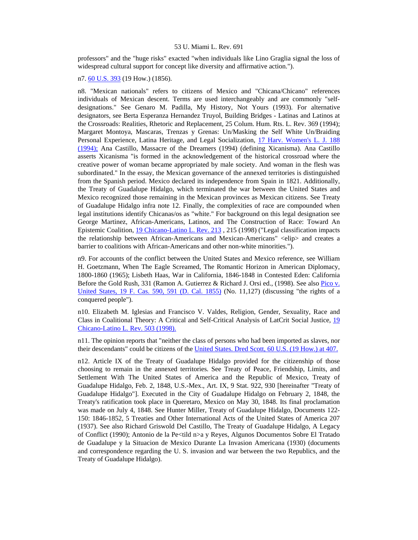professors" and the "huge risks" exacted "when individuals like Lino Graglia signal the loss of widespread cultural support for concept like diversity and affirmative action.").

n7. [60 U.S. 393](http://www.lexis.com/research/xlink?searchtype=get&search=60%20U.S.%20393) (19 How.) (1856).

n8. "Mexican nationals" refers to citizens of Mexico and "Chicana/Chicano" references individuals of Mexican descent. Terms are used interchangeably and are commonly "selfdesignations." See Genaro M. Padilla, My History, Not Yours (1993). For alternative designators, see Berta Esperanza Hernandez Truyol, Building Bridges - Latinas and Latinos at the Crossroads: Realities, Rhetoric and Replacement, 25 Colum. Hum. Rts. L. Rev. 369 (1994); Margaret Montoya, Mascaras, Trenzas y Grenas: Un/Masking the Self White Un/Braiding Personal Experience, Latina Heritage, and Legal Socialization, [17 Harv. Women's L. J. 188](http://www.lexis.com/research/xlink?searchtype=get&search=17%20Harv.%20Women)  [\(1994\);](http://www.lexis.com/research/xlink?searchtype=get&search=17%20Harv.%20Women) Ana Castillo, Massacre of the Dreamers (1994) (defining Xicanisma). Ana Castillo asserts Xicanisma "is formed in the acknowledgement of the historical crossroad where the creative power of woman became appropriated by male society. And woman in the flesh was subordinated." In the essay, the Mexican governance of the annexed territories is distinguished from the Spanish period. Mexico declared its independence from Spain in 1821. Additionally, the Treaty of Guadalupe Hidalgo, which terminated the war between the United States and Mexico recognized those remaining in the Mexican provinces as Mexican citizens. See Treaty of Guadalupe Hidalgo infra note 12. Finally, the complexities of race are compounded when legal institutions identify Chicanas/os as "white." For background on this legal designation see George Martinez, African-Americans, Latinos, and The Construction of Race: Toward An Epistemic Coalition, [19 Chicano-Latino L. Rev. 213](http://www.lexis.com/research/xlink?searchtype=get&search=19%20Chicano-Latino%20L.%20Rev.%20213) , 215 (1998) ("Legal classification impacts the relationship between African-Americans and Mexican-Americans" <elip> and creates a barrier to coalitions with African-Americans and other non-white minorities.").

n9. For accounts of the conflict between the United States and Mexico reference, see William H. Goetzmann, When The Eagle Screamed, The Romantic Horizon in American Diplomacy, 1800-1860 (1965); Lisbeth Haas, War in California, 1846-1848 in Contested Eden: California Before the Gold Rush, 331 (Ramon A. Gutierrez & Richard J. Orsi ed., (1998). See also Pico v. [United States, 19 F. Cas. 590, 591 \(D. Cal. 1855\)](http://www.lexis.com/research/xlink?searchtype=get&search=19%20F.%20Cas.%20590,at%20591) (No. 11,127) (discussing "the rights of a conquered people").

n10. Elizabeth M. Iglesias and Francisco V. Valdes, Religion, Gender, Sexuality, Race and Class in Coalitional Theory: A Critical and Self-Critical Analysis of LatCrit Social Justice, [19](http://www.lexis.com/research/xlink?searchtype=get&search=19%20Chicano-Latino%20L.%20Rev.%20503)  [Chicano-Latino L. Rev. 503 \(1998\).](http://www.lexis.com/research/xlink?searchtype=get&search=19%20Chicano-Latino%20L.%20Rev.%20503)

n11. The opinion reports that "neither the class of persons who had been imported as slaves, nor their descendants" could be citizens of the [United States. Dred Scott, 60 U.S. \(19 How.\) at 407.](http://www.lexis.com/research/xlink?searchtype=get&search=60%20U.S.%20393,at%20407)

n12. Article IX of the Treaty of Guadalupe Hidalgo provided for the citizenship of those choosing to remain in the annexed territories. See Treaty of Peace, Friendship, Limits, and Settlement With The United States of America and the Republic of Mexico, Treaty of Guadalupe Hidalgo, Feb. 2, 1848, U.S.-Mex., Art. IX, 9 Stat. 922, 930 [hereinafter "Treaty of Guadalupe Hidalgo"]. Executed in the City of Guadalupe Hidalgo on February 2, 1848, the Treaty's ratification took place in Queretaro, Mexico on May 30, 1848. Its final proclamation was made on July 4, 1848. See Hunter Miller, Treaty of Guadalupe Hidalgo, Documents 122- 150: 1846-1852, 5 Treaties and Other International Acts of the United States of America 207 (1937). See also Richard Griswold Del Castillo, The Treaty of Guadalupe Hidalgo, A Legacy of Conflict (1990); Antonio de la Pe<tild n>a y Reyes, Algunos Documentos Sobre El Tratado de Guadalupe y la Situacion de Mexico Durante La Invasion Americana (1930) (documents and correspondence regarding the U. S. invasion and war between the two Republics, and the Treaty of Guadalupe Hidalgo).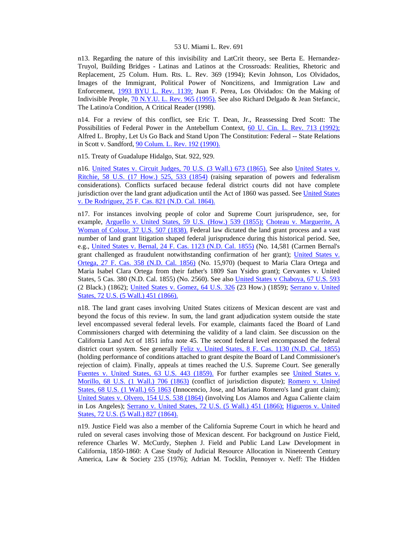n13. Regarding the nature of this invisibility and LatCrit theory, see Berta E. Hernandez-Truyol, Building Bridges - Latinas and Latinos at the Crossroads: Realities, Rhetoric and Replacement, 25 Colum. Hum. Rts. L. Rev. 369 (1994); Kevin Johnson, Los Olvidados, Images of the Immigrant, Political Power of Noncitizens, and Immigration Law and Enforcement, [1993 BYU L. Rev. 1139;](http://www.lexis.com/research/xlink?searchtype=get&search=1993%20B.Y.U.L.%20Rev.%201139) Juan F. Perea, Los Olvidados: On the Making of Indivisible People, [70 N.Y.U. L. Rev. 965 \(1995\).](http://www.lexis.com/research/xlink?searchtype=get&search=70%20N.Y.U.L.%20Rev.%20965) See also Richard Delgado & Jean Stefancic, The Latino/a Condition, A Critical Reader (1998).

n14. For a review of this conflict, see Eric T. Dean, Jr., Reassessing Dred Scott: The Possibilities of Federal Power in the Antebellum Context, [60 U. Cin. L. Rev. 713 \(1992\);](http://www.lexis.com/research/xlink?searchtype=get&search=60%20U.%20Cin.%20L.%20Rev.%20713) Alfred L. Brophy, Let Us Go Back and Stand Upon The Constitution: Federal -- State Relations in Scott v. Sandford, [90 Colum. L. Rev. 192 \(1990\).](http://www.lexis.com/research/xlink?searchtype=get&search=90%20Colum.%20L.%20Rev.%20192)

n15. Treaty of Guadalupe Hidalgo, Stat. 922, 929.

n16. [United States v. Circuit Judges, 70 U.S. \(3 Wall.\) 673 \(1865\).](http://www.lexis.com/research/xlink?searchtype=get&search=70%20U.S.%20673) See also [United States v.](http://www.lexis.com/research/xlink?searchtype=get&search=58%20U.S.%20525,at%20533)  [Ritchie, 58 U.S. \(17 How.\) 525, 533 \(1854\)](http://www.lexis.com/research/xlink?searchtype=get&search=58%20U.S.%20525,at%20533) (raising separation of powers and federalism considerations). Conflicts surfaced because federal district courts did not have complete jurisdiction over the land grant adjudication until the Act of 1860 was passed. See [United States](http://www.lexis.com/research/xlink?searchtype=get&search=25%20F.%20Cas.%20821)  [v. De Rodriguez, 25 F. Cas. 821 \(N.D. Cal. 1864\).](http://www.lexis.com/research/xlink?searchtype=get&search=25%20F.%20Cas.%20821)

n17. For instances involving people of color and Supreme Court jurisprudence, see, for example, [Arguello v. United States, 59 U.S. \(How.\) 539 \(1855\);](http://www.lexis.com/research/xlink?searchtype=get&search=59%20U.S.%20539) [Choteau v. Marguerite, A](http://www.lexis.com/research/xlink?searchtype=get&search=37%20U.S.%20507)  [Woman of Colour, 37 U.S. 507 \(1838\).](http://www.lexis.com/research/xlink?searchtype=get&search=37%20U.S.%20507) Federal law dictated the land grant process and a vast number of land grant litigation shaped federal jurisprudence during this historical period. See, e.g., [United States v. Bernal, 24 F. Cas. 1123 \(N.D. Cal. 1855\)](http://www.lexis.com/research/xlink?searchtype=get&search=24%20F.%20Cas.%201123) (No. 14,581 (Carmen Bernal's grant challenged as fraudulent notwithstanding confirmation of her grant); United States v. [Ortega, 27 F. Cas. 358 \(N.D. Cal. 1856\)](http://www.lexis.com/research/xlink?searchtype=get&search=27%20F.%20Cas.%20358) (No. 15,970) (bequest to Maria Clara Ortega and Maria Isabel Clara Ortega from their father's 1809 San Ysidro grant); Cervantes v. United States, 5 Cas. 380 (N.D. Cal. 1855) (No. 2560). See also [United States v Chaboya, 67 U.S. 593](http://www.lexis.com/research/xlink?searchtype=get&search=67%20U.S.%20593) (2 Black.) (1862); [United States v. Gomez, 64 U.S. 326](http://www.lexis.com/research/xlink?searchtype=get&search=64%20U.S.%20326) (23 How.) (1859); [Serrano v. United](http://www.lexis.com/research/xlink?searchtype=get&search=72%20U.S.%20451)  [States, 72 U.S. \(5 Wall.\) 451 \(1866\).](http://www.lexis.com/research/xlink?searchtype=get&search=72%20U.S.%20451)

n18. The land grant cases involving United States citizens of Mexican descent are vast and beyond the focus of this review. In sum, the land grant adjudication system outside the state level encompassed several federal levels. For example, claimants faced the Board of Land Commissioners charged with determining the validity of a land claim. See discussion on the California Land Act of 1851 infra note 45. The second federal level encompassed the federal district court system. See generally [Feliz v. United States, 8 F. Cas. 1130 \(N.D. Cal. 1855\)](http://www.lexis.com/research/xlink?searchtype=get&search=8%20F.%20Cas.%201130) (holding performance of conditions attached to grant despite the Board of Land Commissioner's rejection of claim). Finally, appeals at times reached the U.S. Supreme Court. See generally [Fuentes v. United States, 63 U.S. 443 \(1859\).](http://www.lexis.com/research/xlink?searchtype=get&search=63%20U.S.%20443) For further examples see [United States v.](http://www.lexis.com/research/xlink?searchtype=get&search=68%20U.S.%20706)  [Morillo, 68 U.S. \(1 Wall.\) 706 \(1863\)](http://www.lexis.com/research/xlink?searchtype=get&search=68%20U.S.%20706) (conflict of jurisdiction dispute); [Romero v. United](http://www.lexis.com/research/xlink?searchtype=get&search=68%20U.S.%2065)  [States, 68 U.S. \(1 Wall.\) 65 1863](http://www.lexis.com/research/xlink?searchtype=get&search=68%20U.S.%2065) (Innocencio, Jose, and Mariano Romero's land grant claim); [United States v. Olvero, 154 U.S. 538 \(1864\)](http://www.lexis.com/research/xlink?searchtype=get&search=154%20U.S.%20538) (involving Los Alamos and Agua Caliente claim in Los Angeles); [Serrano v. United States, 72 U.S. \(5 Wall.\) 451 \(1866\);](http://www.lexis.com/research/xlink?searchtype=get&search=72%20U.S.%20451) [Higueros v. United](http://www.lexis.com/research/xlink?searchtype=get&search=72%20U.S.%20827)  [States, 72 U.S. \(5 Wall.\) 827 \(1864\).](http://www.lexis.com/research/xlink?searchtype=get&search=72%20U.S.%20827)

n19. Justice Field was also a member of the California Supreme Court in which he heard and ruled on several cases involving those of Mexican descent. For background on Justice Field, reference Charles W. McCurdy, Stephen J. Field and Public Land Law Development in California, 1850-1860: A Case Study of Judicial Resource Allocation in Nineteenth Century America, Law & Society 235 (1976); Adrian M. Tocklin, Pennoyer v. Neff: The Hidden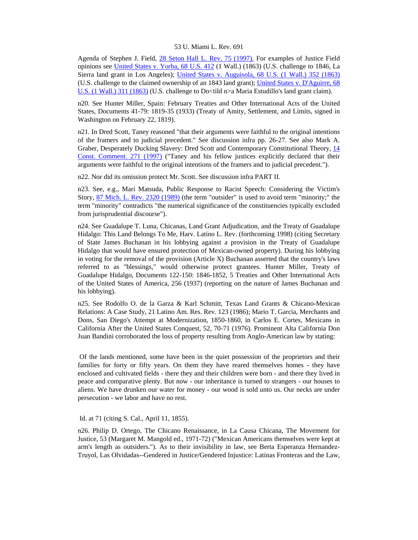Agenda of Stephen J. Field, [28 Seton Hall L. Rev. 75 \(1997\).](http://www.lexis.com/research/xlink?searchtype=get&search=28%20Seton%20Hall%20L.%20Rev.%2075) For examples of Justice Field opinions see [United States v. Yorba, 68 U.S. 412](http://www.lexis.com/research/xlink?searchtype=get&search=68%20U.S.%20412) (1 Wall.) (1863) (U.S. challenge to 1846, La Sierra land grant in Los Angeles); [United States v. Auguisola, 68 U.S. \(1 Wall.\) 352 \(1863\)](http://www.lexis.com/research/xlink?searchtype=get&search=68%20U.S.%20352) (U.S. challenge to the claimed ownership of an 1843 land grant); [United States v. D'Aguirre, 68](http://www.lexis.com/research/xlink?searchtype=get&search=68%20U.S.%20311)  [U.S. \(1 Wall.\) 311 \(1863\)](http://www.lexis.com/research/xlink?searchtype=get&search=68%20U.S.%20311) (U.S. challenge to Do<tild n>a Maria Estudillo's land grant claim).

n20. See Hunter Miller, Spain: February Treaties and Other International Acts of the United States, Documents 41-79: 1819-35 (1933) (Treaty of Amity, Settlement, and Limits, signed in Washington on February 22, 1819).

n21. In Dred Scott, Taney reasoned "that their arguments were faithful to the original intentions of the framers and to judicial precedent." See discussion infra pp. 26-27. See also Mark A. Graber, Desperately Ducking Slavery: Dred Scott and Contemporary Constitutional Theory, [14](http://www.lexis.com/research/xlink?searchtype=get&search=14%20Const.%20Commentary%20271)  [Const. Comment. 271 \(1997\)](http://www.lexis.com/research/xlink?searchtype=get&search=14%20Const.%20Commentary%20271) ("Taney and his fellow justices explicitly declared that their arguments were faithful to the original intentions of the framers and to judicial precedent.").

n22. Nor did its omission protect Mr. Scott. See discussion infra PART II.

n23. See, e.g., Mari Matsuda, Public Response to Racist Speech: Considering the Victim's Story, [87 Mich. L. Rev. 2320 \(1989\)](http://www.lexis.com/research/xlink?searchtype=get&search=87%20Mich.%20L.%20Rev.%202320) (the term "outsider" is used to avoid term "minority;" the term "minority" contradicts "the numerical significance of the constituencies typically excluded from jurisprudential discourse").

n24. See Guadalupe T. Luna, Chicanas, Land Grant Adjudication, and the Treaty of Guadalupe Hidalgo: This Land Belongs To Me, Harv. Latino L. Rev. (forthcoming 1998) (citing Secretary of State James Buchanan in his lobbying against a provision in the Treaty of Guadalupe Hidalgo that would have ensured protection of Mexican-owned property). During his lobbying in voting for the removal of the provision (Article X) Buchanan asserted that the country's laws referred to as "blessings," would otherwise protect grantees. Hunter Miller, Treaty of Guadalupe Hidalgo, Documents 122-150: 1846-1852, 5 Treaties and Other International Acts of the United States of America, 256 (1937) (reporting on the nature of James Buchanan and his lobbying).

n25. See Rodolfo O. de la Garza & Karl Schmitt, Texas Land Grants & Chicano-Mexican Relations: A Case Study, 21 Latino Am. Res. Rev. 123 (1986); Mario T. Garcia, Merchants and Dons, San Diego's Attempt at Modernization, 1850-1860, in Carlos E. Cortes, Mexicans in California After the United States Conquest, 52, 70-71 (1976). Prominent Alta California Don Juan Bandini corroborated the loss of property resulting from Anglo-American law by stating:

 Of the lands mentioned, some have been in the quiet possession of the proprietors and their families for forty or fifty years. On them they have reared themselves homes - they have enclosed and cultivated fields - there they and their children were born - and there they lived in peace and comparative plenty. But now - our inheritance is turned to strangers - our houses to aliens. We have drunken our water for money - our wood is sold unto us. Our necks are under persecution - we labor and have no rest.

## Id. at 71 (citing S. Cal., April 11, 1855).

n26. Philip D. Ortego, The Chicano Renaissance, in La Causa Chicana, The Movement for Justice, 53 (Margaret M. Mangold ed., 1971-72) ("Mexican Americans themselves were kept at arm's length as outsiders."). As to their invisibility in law, see Berta Esperanza Hernandez-Truyol, Las Olvidadas--Gendered in Justice/Gendered Injustice: Latinas Fronteras and the Law,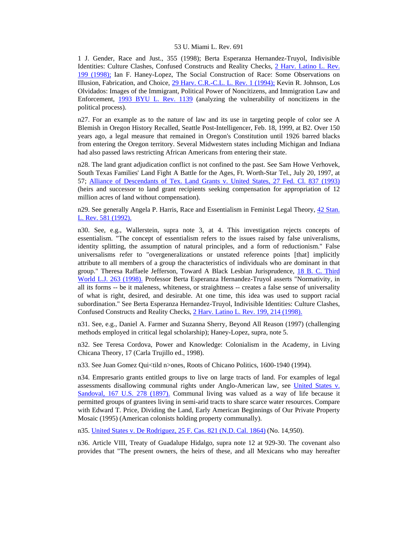1 J. Gender, Race and Just., 355 (1998); Berta Esperanza Hernandez-Truyol, Indivisible Identities: Culture Clashes, Confused Constructs and Reality Checks, [2 Harv. Latino L. Rev.](http://www.lexis.com/research/xlink?searchtype=get&search=2%20Harv.%20Latino%20L.%20Rev.%20199)  [199 \(1998\);](http://www.lexis.com/research/xlink?searchtype=get&search=2%20Harv.%20Latino%20L.%20Rev.%20199) Ian F. Haney-Lopez, The Social Construction of Race: Some Observations on Illusion, Fabrication, and Choice, [29 Harv. C.R.-C.L. L. Rev. 1 \(1994\);](http://www.lexis.com/research/xlink?searchtype=get&search=29%20Harv.%20C.R.-C.L.%20L.%20Rev.%201) Kevin R. Johnson, Los Olvidados: Images of the Immigrant, Political Power of Noncitizens, and Immigration Law and Enforcement, [1993 BYU L. Rev. 1139](http://www.lexis.com/research/xlink?searchtype=get&search=1993%20B.Y.U.L.%20Rev.%201139) (analyzing the vulnerability of noncitizens in the political process).

n27. For an example as to the nature of law and its use in targeting people of color see A Blemish in Oregon History Recalled, Seattle Post-Intelligencer, Feb. 18, 1999, at B2. Over 150 years ago, a legal measure that remained in Oregon's Constitution until 1926 barred blacks from entering the Oregon territory. Several Midwestern states including Michigan and Indiana had also passed laws restricting African Americans from entering their state.

n28. The land grant adjudication conflict is not confined to the past. See Sam Howe Verhovek, South Texas Families' Land Fight A Battle for the Ages, Ft. Worth-Star Tel., July 20, 1997, at 57; [Alliance of Descendants of Tex. Land Grants v. United States, 27 Fed. Cl. 837 \(1993\)](http://www.lexis.com/research/xlink?searchtype=get&search=27%20Fed.%20Cl.%20837) (heirs and successor to land grant recipients seeking compensation for appropriation of 12 million acres of land without compensation).

n29. See generally Angela P. Harris, Race and Essentialism in Feminist Legal Theory, 42 Stan. [L. Rev. 581 \(1992\).](http://www.lexis.com/research/xlink?searchtype=get&search=42%20Stan.%20L.%20Rev.%20581)

n30. See, e.g., Wallerstein, supra note 3, at 4. This investigation rejects concepts of essentialism. "The concept of essentialism refers to the issues raised by false univeralisms, identity splitting, the assumption of natural principles, and a form of reductionism." False universalisms refer to "overgeneralizations or unstated reference points [that] implicitly attribute to all members of a group the characteristics of individuals who are dominant in that group." Theresa Raffaele Jefferson, Toward A Black Lesbian Jurisprudence, [18 B. C. Third](http://www.lexis.com/research/xlink?searchtype=get&search=18%20B.C.%20Third%20World%20L.J.%20263)  [World L.J. 263 \(1998\).](http://www.lexis.com/research/xlink?searchtype=get&search=18%20B.C.%20Third%20World%20L.J.%20263) Professor Berta Esperanza Hernandez-Truyol asserts "Normativity, in all its forms -- be it maleness, whiteness, or straightness -- creates a false sense of universality of what is right, desired, and desirable. At one time, this idea was used to support racial subordination." See Berta Esperanza Hernandez-Truyol, Indivisible Identities: Culture Clashes, Confused Constructs and Reality Checks, [2 Harv. Latino L. Rev. 199, 214 \(1998\).](http://www.lexis.com/research/xlink?searchtype=get&search=2%20Harv.%20Latino%20L.%20Rev.%20199,at%20214)

n31. See, e.g., Daniel A. Farmer and Suzanna Sherry, Beyond All Reason (1997) (challenging methods employed in critical legal scholarship); Haney-Lopez, supra, note 5.

n32. See Teresa Cordova, Power and Knowledge: Colonialism in the Academy, in Living Chicana Theory, 17 (Carla Trujillo ed., 1998).

n33. See Juan Gomez Qui<tild n>ones, Roots of Chicano Politics, 1600-1940 (1994).

n34. Empresario grants entitled groups to live on large tracts of land. For examples of legal assessments disallowing communal rights under Anglo-American law, see [United States v.](http://www.lexis.com/research/xlink?searchtype=get&search=167%20U.S.%20278)  [Sandoval, 167 U.S. 278 \(1897\).](http://www.lexis.com/research/xlink?searchtype=get&search=167%20U.S.%20278) Communal living was valued as a way of life because it permitted groups of grantees living in semi-arid tracts to share scarce water resources. Compare with Edward T. Price, Dividing the Land, Early American Beginnings of Our Private Property Mosaic (1995) (American colonists holding property communally).

n35. [United States v. De Rodriguez, 25 F. Cas. 821 \(N.D. Cal. 1864\)](http://www.lexis.com/research/xlink?searchtype=get&search=25%20F.%20Cas.%20821) (No. 14,950).

n36. Article VIII, Treaty of Guadalupe Hidalgo, supra note 12 at 929-30. The covenant also provides that "The present owners, the heirs of these, and all Mexicans who may hereafter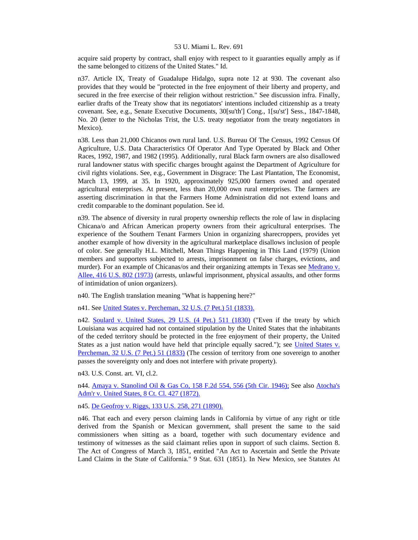acquire said property by contract, shall enjoy with respect to it guaranties equally amply as if the same belonged to citizens of the United States." Id.

n37. Article IX, Treaty of Guadalupe Hidalgo, supra note 12 at 930. The covenant also provides that they would be "protected in the free enjoyment of their liberty and property, and secured in the free exercise of their religion without restriction." See discussion infra. Finally, earlier drafts of the Treaty show that its negotiators' intentions included citizenship as a treaty covenant. See, e.g., Senate Executive Documents, 30[su'th'] Cong., 1[su'st'] Sess., 1847-1848, No. 20 (letter to the Nicholas Trist, the U.S. treaty negotiator from the treaty negotiators in Mexico).

n38. Less than 21,000 Chicanos own rural land. U.S. Bureau Of The Census, 1992 Census Of Agriculture, U.S. Data Characteristics Of Operator And Type Operated by Black and Other Races, 1992, 1987, and 1982 (1995). Additionally, rural Black farm owners are also disallowed rural landowner status with specific charges brought against the Department of Agriculture for civil rights violations. See, e.g., Government in Disgrace: The Last Plantation, The Economist, March 13, 1999, at 35. In 1920, approximately 925,000 farmers owned and operated agricultural enterprises. At present, less than 20,000 own rural enterprises. The farmers are asserting discrimination in that the Farmers Home Administration did not extend loans and credit comparable to the dominant population. See id.

n39. The absence of diversity in rural property ownership reflects the role of law in displacing Chicana/o and African American property owners from their agricultural enterprises. The experience of the Southern Tenant Farmers Union in organizing sharecroppers, provides yet another example of how diversity in the agricultural marketplace disallows inclusion of people of color. See generally H.L. Mitchell, Mean Things Happening in This Land (1979) (Union members and supporters subjected to arrests, imprisonment on false charges, evictions, and murder). For an example of Chicanas/os and their organizing attempts in Texas see Medrano v. [Allee, 416 U.S. 802 \(1973\)](http://www.lexis.com/research/xlink?searchtype=get&search=416%20U.S.%20802) (arrests, unlawful imprisonment, physical assaults, and other forms of intimidation of union organizers).

n40. The English translation meaning "What is happening here?"

n41. See [United States v. Percheman, 32 U.S. \(7 Pet.\) 51 \(1833\).](http://www.lexis.com/research/xlink?searchtype=get&search=32%20U.S.%2051)

n42. [Soulard v. United States, 29 U.S. \(4 Pet.\) 511 \(1830\)](http://www.lexis.com/research/xlink?searchtype=get&search=29%20U.S.%20511) ("Even if the treaty by which Louisiana was acquired had not contained stipulation by the United States that the inhabitants of the ceded territory should be protected in the free enjoyment of their property, the United States as a just nation would have held that principle equally sacred."); see [United States v.](http://www.lexis.com/research/xlink?searchtype=get&search=32%20U.S.%2051)  [Percheman, 32 U.S. \(7 Pet.\) 51 \(1833\)](http://www.lexis.com/research/xlink?searchtype=get&search=32%20U.S.%2051) (The cession of territory from one sovereign to another passes the sovereignty only and does not interfere with private property).

n43. U.S. Const. art. VI, cl.2.

n44. [Amaya v. Stanolind Oil & Gas Co, 158 F.2d 554, 556 \(5th Cir. 1946\);](http://www.lexis.com/research/xlink?searchtype=get&search=158%20F.2d%20554,at%20556) See also [Atocha's](http://www.lexis.com/research/xlink?searchtype=get&search=8%20Ct.%20Cl.%20427)  [Adm'r v. United States, 8 Ct. Cl. 427 \(1872\).](http://www.lexis.com/research/xlink?searchtype=get&search=8%20Ct.%20Cl.%20427)

n45. [De Geofroy v. Riggs, 133 U.S. 258, 271 \(1890\).](http://www.lexis.com/research/xlink?searchtype=get&search=133%20U.S.%20258,at%20271)

n46. That each and every person claiming lands in California by virtue of any right or title derived from the Spanish or Mexican government, shall present the same to the said commissioners when sitting as a board, together with such documentary evidence and testimony of witnesses as the said claimant relies upon in support of such claims. Section 8. The Act of Congress of March 3, 1851, entitled "An Act to Ascertain and Settle the Private Land Claims in the State of California." 9 Stat. 631 (1851). In New Mexico, see Statutes At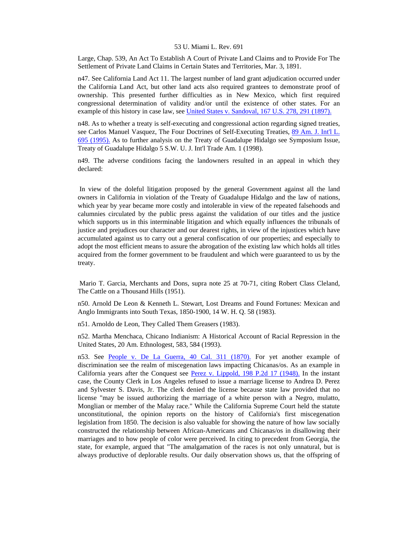Large, Chap. 539, An Act To Establish A Court of Private Land Claims and to Provide For The Settlement of Private Land Claims in Certain States and Territories, Mar. 3, 1891.

n47. See California Land Act 11. The largest number of land grant adjudication occurred under the California Land Act, but other land acts also required grantees to demonstrate proof of ownership. This presented further difficulties as in New Mexico, which first required congressional determination of validity and/or until the existence of other states. For an example of this history in case law, see [United States v. Sandoval, 167 U.S. 278, 291 \(1897\).](http://www.lexis.com/research/xlink?searchtype=get&search=167%20U.S.%20278,at%20291)

n48. As to whether a treaty is self-executing and congressional action regarding signed treaties, see Carlos Manuel Vasquez, The Four Doctrines of Self-Executing Treaties, [89 Am. J. Int'l L.](http://www.lexis.com/research/xlink?searchtype=get&search=89%20A.J.I.L.%20695)  [695 \(1995\).](http://www.lexis.com/research/xlink?searchtype=get&search=89%20A.J.I.L.%20695) As to further analysis on the Treaty of Guadalupe Hidalgo see Symposium Issue, Treaty of Guadalupe Hidalgo 5 S.W. U. J. Int'l Trade Am. 1 (1998).

n49. The adverse conditions facing the landowners resulted in an appeal in which they declared:

 In view of the doleful litigation proposed by the general Government against all the land owners in California in violation of the Treaty of Guadalupe Hidalgo and the law of nations, which year by year became more costly and intolerable in view of the repeated falsehoods and calumnies circulated by the public press against the validation of our titles and the justice which supports us in this interminable litigation and which equally influences the tribunals of justice and prejudices our character and our dearest rights, in view of the injustices which have accumulated against us to carry out a general confiscation of our properties; and especially to adopt the most efficient means to assure the abrogation of the existing law which holds all titles acquired from the former government to be fraudulent and which were guaranteed to us by the treaty.

 Mario T. Garcia, Merchants and Dons, supra note 25 at 70-71, citing Robert Class Cleland, The Cattle on a Thousand Hills (1951).

n50. Arnold De Leon & Kenneth L. Stewart, Lost Dreams and Found Fortunes: Mexican and Anglo Immigrants into South Texas, 1850-1900, 14 W. H. Q. 58 (1983).

n51. Arnoldo de Leon, They Called Them Greasers (1983).

n52. Martha Menchaca, Chicano Indianism: A Historical Account of Racial Repression in the United States, 20 Am. Ethnologest, 583, 584 (1993).

n53. See [People v. De La Guerra, 40 Cal. 311 \(1870\).](http://www.lexis.com/research/xlink?searchtype=get&search=40%20Cal.%20311) For yet another example of discrimination see the realm of miscegenation laws impacting Chicanas/os. As an example in California years after the Conquest see [Perez v. Lippold, 198 P.2d 17 \(1948\).](http://www.lexis.com/research/xlink?searchtype=get&search=198%20P.2d%2017) In the instant case, the County Clerk in Los Angeles refused to issue a marriage license to Andrea D. Perez and Sylvester S. Davis, Jr. The clerk denied the license because state law provided that no license "may be issued authorizing the marriage of a white person with a Negro, mulatto, Monglian or member of the Malay race." While the California Supreme Court held the statute unconstitutional, the opinion reports on the history of California's first miscegenation legislation from 1850. The decision is also valuable for showing the nature of how law socially constructed the relationship between African-Americans and Chicanas/os in disallowing their marriages and to how people of color were perceived. In citing to precedent from Georgia, the state, for example, argued that "The amalgamation of the races is not only unnatural, but is always productive of deplorable results. Our daily observation shows us, that the offspring of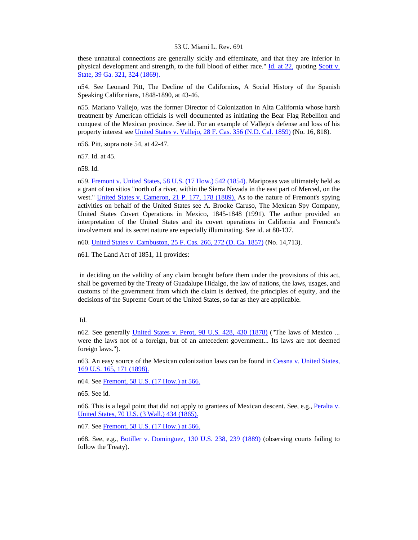these unnatural connections are generally sickly and effeminate, and that they are inferior in physical development and strength, to the full blood of either race." [Id. at 22,](http://www.lexis.com/research/xlink?searchtype=get&search=198%20P.2d%2017,at%2022) quoting [Scott v.](http://www.lexis.com/research/xlink?searchtype=get&search=39%20Ga.%20321,at%20324)  [State, 39 Ga. 321, 324 \(1869\).](http://www.lexis.com/research/xlink?searchtype=get&search=39%20Ga.%20321,at%20324)

n54. See Leonard Pitt, The Decline of the Californios, A Social History of the Spanish Speaking Californians, 1848-1890, at 43-46.

n55. Mariano Vallejo, was the former Director of Colonization in Alta California whose harsh treatment by American officials is well documented as initiating the Bear Flag Rebellion and conquest of the Mexican province. See id. For an example of Vallejo's defense and loss of his property interest see [United States v. Vallejo, 28 F. Cas. 356 \(N.D. Cal. 1859\)](http://www.lexis.com/research/xlink?searchtype=get&search=28%20F.%20Cas.%20356) (No. 16, 818).

n56. Pitt, supra note 54, at 42-47.

n57. Id. at 45.

n58. Id.

n59. [Fremont v. United States, 58 U.S. \(17 How.\) 542 \(1854\).](http://www.lexis.com/research/xlink?searchtype=get&search=58%20U.S.%20542) Mariposas was ultimately held as a grant of ten sitios "north of a river, within the Sierra Nevada in the east part of Merced, on the west." [United States v. Cameron, 21 P. 177, 178 \(1889\).](http://www.lexis.com/research/xlink?searchtype=get&search=21%20P.%20177,at%20178) As to the nature of Fremont's spying activities on behalf of the United States see A. Brooke Caruso, The Mexican Spy Company, United States Covert Operations in Mexico, 1845-1848 (1991). The author provided an interpretation of the United States and its covert operations in California and Fremont's involvement and its secret nature are especially illuminating. See id. at 80-137.

n60. [United States v. Cambuston, 25 F. Cas. 266, 272 \(D. Ca. 1857\)](http://www.lexis.com/research/xlink?searchtype=get&search=25%20F.%20Cas.%20266,at%20272) (No. 14,713).

n61. The Land Act of 1851, 11 provides:

 in deciding on the validity of any claim brought before them under the provisions of this act, shall be governed by the Treaty of Guadalupe Hidalgo, the law of nations, the laws, usages, and customs of the government from which the claim is derived, the principles of equity, and the decisions of the Supreme Court of the United States, so far as they are applicable.

n62. See generally [United States v. Perot, 98 U.S. 428, 430 \(1878\)](http://www.lexis.com/research/xlink?searchtype=get&search=98%20U.S.%20428,at%20430) ("The laws of Mexico ... were the laws not of a foreign, but of an antecedent government... Its laws are not deemed foreign laws.").

n63. An easy source of the Mexican colonization laws can be found in [Cessna v. United States,](http://www.lexis.com/research/xlink?searchtype=get&search=169%20U.S.%20165,at%20171)  [169 U.S. 165, 171 \(1898\).](http://www.lexis.com/research/xlink?searchtype=get&search=169%20U.S.%20165,at%20171)

n64. See [Fremont, 58 U.S. \(17 How.\) at 566.](http://www.lexis.com/research/xlink?searchtype=get&search=58%20U.S.%20542,at%20566)

n65. See id.

n66. This is a legal point that did not apply to grantees of Mexican descent. See, e.g., [Peralta v.](http://www.lexis.com/research/xlink?searchtype=get&search=70%20U.S.%20434)  [United States, 70 U.S. \(3 Wall.\) 434 \(1865\).](http://www.lexis.com/research/xlink?searchtype=get&search=70%20U.S.%20434)

n67. See [Fremont, 58 U.S. \(17 How.\) at 566.](http://www.lexis.com/research/xlink?searchtype=get&search=58%20U.S.%20542,at%20566)

n68. See, e.g., [Botiller v. Dominguez, 130 U.S. 238, 239 \(1889\)](http://www.lexis.com/research/xlink?searchtype=get&search=130%20U.S.%20238,at%20239) (observing courts failing to follow the Treaty).

Id.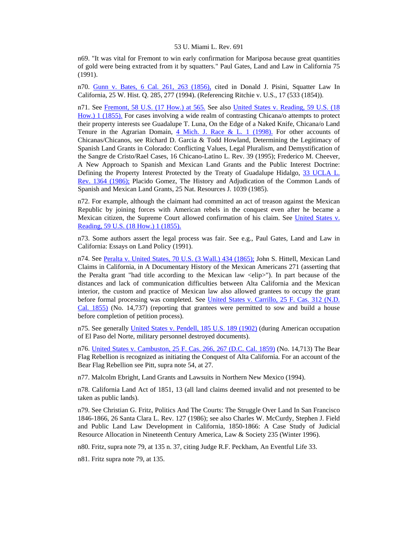n69. "It was vital for Fremont to win early confirmation for Mariposa because great quantities of gold were being extracted from it by squatters." Paul Gates, Land and Law in California 75 (1991).

n70. [Gunn v. Bates, 6 Cal. 261, 263 \(1856\),](http://www.lexis.com/research/xlink?searchtype=get&search=6%20Cal.%20261,at%20263) cited in Donald J. Pisini, Squatter Law In California, 25 W. Hist. Q. 285, 277 (1994). (Referencing Ritchie v. U.S., 17 (533 (1854)).

n71. See [Fremont, 58 U.S. \(17 How.\) at 565.](http://www.lexis.com/research/xlink?searchtype=get&search=58%20U.S.%20542,at%20565) See also [United States v. Reading, 59 U.S. \(18](http://www.lexis.com/research/xlink?searchtype=get&search=59%20U.S.%201)  [How.\) 1 \(1855\).](http://www.lexis.com/research/xlink?searchtype=get&search=59%20U.S.%201) For cases involving a wide realm of contrasting Chicana/o attempts to protect their property interests see Guadalupe T. Luna, On the Edge of a Naked Knife, Chicana/o Land Tenure in the Agrarian Domain,  $4$  Mich. J. Race & L. 1 (1998). For other accounts of Chicanas/Chicanos, see Richard D. Garcia & Todd Howland, Determining the Legitimacy of Spanish Land Grants in Colorado: Conflicting Values, Legal Pluralism, and Demystification of the Sangre de Cristo/Rael Cases, 16 Chicano-Latino L. Rev. 39 (1995); Frederico M. Cheever, A New Approach to Spanish and Mexican Land Grants and the Public Interest Doctrine: Defining the Property Interest Protected by the Treaty of Guadalupe Hidalgo, 33 UCLA L. [Rev. 1364 \(1986\);](http://www.lexis.com/research/xlink?searchtype=get&search=33%20UCLA%20L.%20Rev.%201364) Placido Gomez, The History and Adjudication of the Common Lands of Spanish and Mexican Land Grants, 25 Nat. Resources J. 1039 (1985).

n72. For example, although the claimant had committed an act of treason against the Mexican Republic by joining forces with American rebels in the conquest even after he became a Mexican citizen, the Supreme Court allowed confirmation of his claim. See United States v. [Reading, 59 U.S. \(18 How.\) 1 \(1855\).](http://www.lexis.com/research/xlink?searchtype=get&search=59%20U.S.%201)

n73. Some authors assert the legal process was fair. See e.g., Paul Gates, Land and Law in California: Essays on Land Policy (1991).

n74. See [Peralta v. United States, 70 U.S. \(3 Wall.\) 434 \(1865\);](http://www.lexis.com/research/xlink?searchtype=get&search=70%20U.S.%20434) John S. Hittell, Mexican Land Claims in California, in A Documentary History of the Mexican Americans 271 (asserting that the Peralta grant "had title according to the Mexican law <elip>"). In part because of the distances and lack of communication difficulties between Alta California and the Mexican interior, the custom and practice of Mexican law also allowed grantees to occupy the grant before formal processing was completed. See [United States v. Carrillo, 25 F. Cas. 312 \(N.D.](http://www.lexis.com/research/xlink?searchtype=get&search=25%20F.%20Cas.%20312)  [Cal. 1855\)](http://www.lexis.com/research/xlink?searchtype=get&search=25%20F.%20Cas.%20312) (No. 14,737) (reporting that grantees were permitted to sow and build a house before completion of petition process).

n75. See generally [United States v. Pendell, 185 U.S. 189 \(1902\)](http://www.lexis.com/research/xlink?searchtype=get&search=185%20U.S.%20189) (during American occupation of El Paso del Norte, military personnel destroyed documents).

n76. [United States v. Cambuston, 25 F. Cas. 266, 267 \(D.C. Cal. 1859\)](http://www.lexis.com/research/xlink?searchtype=get&search=25%20F.%20Cas.%20266,at%20267) (No. 14,713) The Bear Flag Rebellion is recognized as initiating the Conquest of Alta California. For an account of the Bear Flag Rebellion see Pitt, supra note 54, at 27.

n77. Malcolm Ebright, Land Grants and Lawsuits in Northern New Mexico (1994).

n78. California Land Act of 1851, 13 (all land claims deemed invalid and not presented to be taken as public lands).

n79. See Christian G. Fritz, Politics And The Courts: The Struggle Over Land In San Francisco 1846-1866, 26 Santa Clara L. Rev. 127 (1986); see also Charles W. McCurdy, Stephen J. Field and Public Land Law Development in California, 1850-1866: A Case Study of Judicial Resource Allocation in Nineteenth Century America, Law & Society 235 (Winter 1996).

n80. Fritz, supra note 79, at 135 n. 37, citing Judge R.F. Peckham, An Eventful Life 33.

n81. Fritz supra note 79, at 135.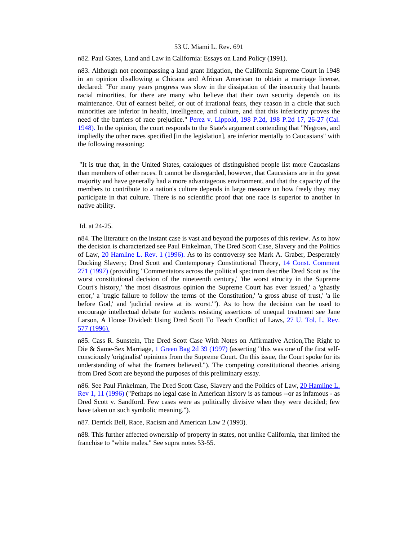### n82. Paul Gates, Land and Law in California: Essays on Land Policy (1991).

n83. Although not encompassing a land grant litigation, the California Supreme Court in 1948 in an opinion disallowing a Chicana and African American to obtain a marriage license, declared: "For many years progress was slow in the dissipation of the insecurity that haunts racial minorities, for there are many who believe that their own security depends on its maintenance. Out of earnest belief, or out of irrational fears, they reason in a circle that such minorities are inferior in health, intelligence, and culture, and that this inferiority proves the need of the barriers of race prejudice." Perez v. Lippold, 198 P.2d, 198 P.2d 17, 26-27 (Cal. [1948\).](http://www.lexis.com/research/xlink?searchtype=get&search=198%20P.2d%20198) In the opinion, the court responds to the State's argument contending that "Negroes, and impliedly the other races specified [in the legislation], are inferior mentally to Caucasians" with the following reasoning:

 "It is true that, in the United States, catalogues of distinguished people list more Caucasians than members of other races. It cannot be disregarded, however, that Caucasians are in the great majority and have generally had a more advantageous environment, and that the capacity of the members to contribute to a nation's culture depends in large measure on how freely they may participate in that culture. There is no scientific proof that one race is superior to another in native ability.

## Id. at 24-25.

n84. The literature on the instant case is vast and beyond the purposes of this review. As to how the decision is characterized see Paul Finkelman, The Dred Scott Case, Slavery and the Politics of Law, [20 Hamline L. Rev. 1 \(1996\).](http://www.lexis.com/research/xlink?searchtype=get&search=20%20Hamline%20L.%20Rev.%201) As to its controversy see Mark A. Graber, Desperately Ducking Slavery; Dred Scott and Contemporary Constitutional Theory, [14 Const. Comment](http://www.lexis.com/research/xlink?searchtype=get&search=14%20Const.%20Commentary%20271)  [271 \(1997\)](http://www.lexis.com/research/xlink?searchtype=get&search=14%20Const.%20Commentary%20271) (providing "Commentators across the political spectrum describe Dred Scott as 'the worst constitutional decision of the nineteenth century,' 'the worst atrocity in the Supreme Court's history,' 'the most disastrous opinion the Supreme Court has ever issued,' a 'ghastly error,' a 'tragic failure to follow the terms of the Constitution,' 'a gross abuse of trust,' 'a lie before God,' and 'judicial review at its worst.'"). As to how the decision can be used to encourage intellectual debate for students resisting assertions of unequal treatment see Jane Larson, A House Divided: Using Dred Scott To Teach Conflict of Laws, [27 U. Tol. L. Rev.](http://www.lexis.com/research/xlink?searchtype=get&search=27%20U.%20Tol.%20L.%20Rev.%20577)  [577 \(1996\).](http://www.lexis.com/research/xlink?searchtype=get&search=27%20U.%20Tol.%20L.%20Rev.%20577)

n85. Cass R. Sunstein, The Dred Scott Case With Notes on Affirmative Action,The Right to Die & Same-Sex Marriage, [1 Green Bag 2d 39 \(1997\)](http://www.lexis.com/research/xlink?searchtype=get&search=1%20Green%20Bag%202d%2039) (asserting "this was one of the first selfconsciously 'originalist' opinions from the Supreme Court. On this issue, the Court spoke for its understanding of what the framers believed."). The competing constitutional theories arising from Dred Scott are beyond the purposes of this preliminary essay.

n86. See Paul Finkelman, The Dred Scott Case, Slavery and the Politics of Law, [20 Hamline L.](http://www.lexis.com/research/xlink?searchtype=get&search=20%20Hamline%20L.%20Rev.%201,at%2011)  [Rev 1, 11 \(1996\)](http://www.lexis.com/research/xlink?searchtype=get&search=20%20Hamline%20L.%20Rev.%201,at%2011) ("Perhaps no legal case in American history is as famous --or as infamous - as Dred Scott v. Sandford. Few cases were as politically divisive when they were decided; few have taken on such symbolic meaning.").

n87. Derrick Bell, Race, Racism and American Law 2 (1993).

n88. This further affected ownership of property in states, not unlike California, that limited the franchise to "white males." See supra notes 53-55.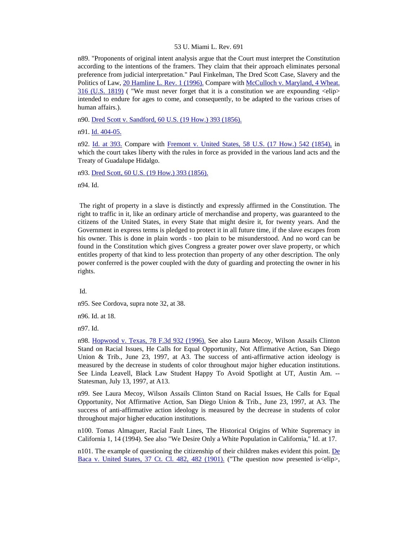n89. "Proponents of original intent analysis argue that the Court must interpret the Constitution according to the intentions of the framers. They claim that their approach eliminates personal preference from judicial interpretation." Paul Finkelman, The Dred Scott Case, Slavery and the Politics of Law, [20 Hamline L. Rev. 1 \(1996\).](http://www.lexis.com/research/xlink?searchtype=get&search=20%20Hamline%20L.%20Rev.%201) Compare with McCulloch v. Maryland, 4 Wheat. [316 \(U.S. 1819\)](http://www.lexis.com/research/xlink?searchtype=get&search=4%20Wheat.%20316) ( "We must never forget that it is a constitution we are expounding  $\langle$ elip $\rangle$ intended to endure for ages to come, and consequently, to be adapted to the various crises of human affairs.).

n90. [Dred Scott v. Sandford, 60 U.S. \(19 How.\) 393 \(1856\).](http://www.lexis.com/research/xlink?searchtype=get&search=60%20U.S.%20393)

n91. [Id. 404-05.](http://www.lexis.com/research/xlink?searchtype=get&search=60%20U.S.%20393,at%20404)

n92. [Id. at 393.](http://www.lexis.com/research/xlink?searchtype=get&search=60%20U.S.%20393) Compare with [Fremont v. United States, 58 U.S. \(17 How.\) 542 \(1854\),](http://www.lexis.com/research/xlink?searchtype=get&search=58%20U.S.%20542) in which the court takes liberty with the rules in force as provided in the various land acts and the Treaty of Guadalupe Hidalgo.

n93. [Dred Scott, 60 U.S. \(19 How.\) 393 \(1856\).](http://www.lexis.com/research/xlink?searchtype=get&search=60%20U.S.%20393)

n94. Id.

 The right of property in a slave is distinctly and expressly affirmed in the Constitution. The right to traffic in it, like an ordinary article of merchandise and property, was guaranteed to the citizens of the United States, in every State that might desire it, for twenty years. And the Government in express terms is pledged to protect it in all future time, if the slave escapes from his owner. This is done in plain words - too plain to be misunderstood. And no word can be found in the Constitution which gives Congress a greater power over slave property, or which entitles property of that kind to less protection than property of any other description. The only power conferred is the power coupled with the duty of guarding and protecting the owner in his rights.

Id.

n95. See Cordova, supra note 32, at 38.

n96. Id. at 18.

n97. Id.

n98. [Hopwood v. Texas, 78 F.3d 932 \(1996\).](http://www.lexis.com/research/xlink?searchtype=get&search=78%20F.3d%20932) See also Laura Mecoy, Wilson Assails Clinton Stand on Racial Issues, He Calls for Equal Opportunity, Not Affirmative Action, San Diego Union & Trib., June 23, 1997, at A3. The success of anti-affirmative action ideology is measured by the decrease in students of color throughout major higher education institutions. See Linda Leavell, Black Law Student Happy To Avoid Spotlight at UT, Austin Am. -- Statesman, July 13, 1997, at A13.

n99. See Laura Mecoy, Wilson Assails Clinton Stand on Racial Issues, He Calls for Equal Opportunity, Not Affirmative Action, San Diego Union & Trib., June 23, 1997, at A3. The success of anti-affirmative action ideology is measured by the decrease in students of color throughout major higher education institutions.

n100. Tomas Almaguer, Racial Fault Lines, The Historical Origins of White Supremacy in California 1, 14 (1994). See also "We Desire Only a White Population in California," Id. at 17.

n101. The example of questioning the citizenship of their children makes evident this point. [De](http://www.lexis.com/research/xlink?searchtype=get&search=37%20Ct.%20Cl.%20482)  [Baca v. United States, 37 Ct. Cl. 482, 482 \(1901\).](http://www.lexis.com/research/xlink?searchtype=get&search=37%20Ct.%20Cl.%20482) ("The question now presented is <elip>,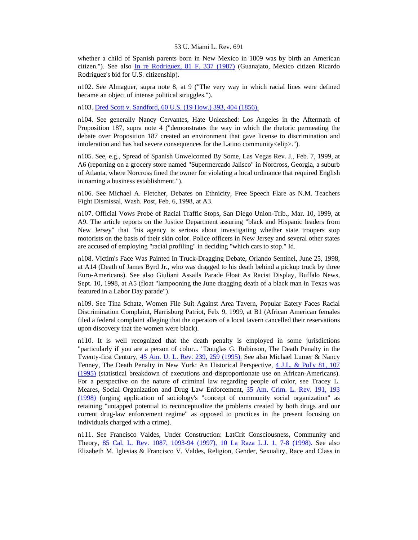whether a child of Spanish parents born in New Mexico in 1809 was by birth an American citizen."). See also [In re Rodriguez, 81 F. 337 \(1987\)](http://www.lexis.com/research/xlink?searchtype=get&search=81%20F.%20337) (Guanajato, Mexico citizen Ricardo Rodriguez's bid for U.S. citizenship).

n102. See Almaguer, supra note 8, at 9 ("The very way in which racial lines were defined became an object of intense political struggles.").

n103. [Dred Scott v. Sandford, 60 U.S. \(19 How.\) 393, 404 \(1856\).](http://www.lexis.com/research/xlink?searchtype=get&search=60%20U.S.%20393,at%20404)

n104. See generally Nancy Cervantes, Hate Unleashed: Los Angeles in the Aftermath of Proposition 187, supra note 4 ("demonstrates the way in which the rhetoric permeating the debate over Proposition 187 created an environment that gave license to discrimination and intoleration and has had severe consequences for the Latino community<elip>.").

n105. See, e.g., Spread of Spanish Unwelcomed By Some, Las Vegas Rev. J., Feb. 7, 1999, at A6 (reporting on a grocery store named "Supermercado Jalisco" in Norcross, Georgia, a suburb of Atlanta, where Norcross fined the owner for violating a local ordinance that required English in naming a business establishment.").

n106. See Michael A. Fletcher, Debates on Ethnicity, Free Speech Flare as N.M. Teachers Fight Dismissal, Wash. Post, Feb. 6, 1998, at A3.

n107. Official Vows Probe of Racial Traffic Stops, San Diego Union-Trib., Mar. 10, 1999, at A9. The article reports on the Justice Department assuring "black and Hispanic leaders from New Jersey" that "his agency is serious about investigating whether state troopers stop motorists on the basis of their skin color. Police officers in New Jersey and several other states are accused of employing "racial profiling" in deciding "which cars to stop." Id.

n108. Victim's Face Was Painted In Truck-Dragging Debate, Orlando Sentinel, June 25, 1998, at A14 (Death of James Byrd Jr., who was dragged to his death behind a pickup truck by three Euro-Americans). See also Giuliani Assails Parade Float As Racist Display, Buffalo News, Sept. 10, 1998, at A5 (float "lampooning the June dragging death of a black man in Texas was featured in a Labor Day parade").

n109. See Tina Schatz, Women File Suit Against Area Tavern, Popular Eatery Faces Racial Discrimination Complaint, Harrisburg Patriot, Feb. 9, 1999, at B1 (African American females filed a federal complaint alleging that the operators of a local tavern cancelled their reservations upon discovery that the women were black).

n110. It is well recognized that the death penalty is employed in some jurisdictions "particularly if you are a person of color... "Douglas G. Robinson, The Death Penalty in the Twenty-first Century, [45 Am. U. L. Rev. 239, 259 \(1995\).](http://www.lexis.com/research/xlink?searchtype=get&search=45%20Am.%20U.L.%20Rev.%20239,at%20259) See also Michael Lumer & Nancy Tenney, The Death Penalty in New York: An Historical Perspective, [4 J.L. & Pol'y 81, 107](http://www.lexis.com/research/xlink?searchtype=get&search=4%20J.L.%20%26%20Pol)  [\(1995\)](http://www.lexis.com/research/xlink?searchtype=get&search=4%20J.L.%20%26%20Pol) (statistical breakdown of executions and disproportionate use on African-Americans). For a perspective on the nature of criminal law regarding people of color, see Tracey L. Meares, Social Organization and Drug Law Enforcement, [35 Am. Crim. L. Rev. 191, 193](http://www.lexis.com/research/xlink?searchtype=get&search=35%20Am.%20Crim.%20L.%20Rev.%20191,at%20193)  [\(1998\)](http://www.lexis.com/research/xlink?searchtype=get&search=35%20Am.%20Crim.%20L.%20Rev.%20191,at%20193) (urging application of sociology's "concept of community social organization" as retaining "untapped potential to reconceptualize the problems created by both drugs and our current drug-law enforcement regime" as opposed to practices in the present focusing on individuals charged with a crime).

n111. See Francisco Valdes, Under Construction: LatCrit Consciousness, Community and Theory, [85 Cal. L. Rev. 1087, 1093-94 \(1997\), 10 La Raza L.J. 1, 7-8 \(1998\).](http://www.lexis.com/research/xlink?searchtype=get&search=85%20Calif.%20L.%20Rev.%201087,at%201093) See also Elizabeth M. Iglesias & Francisco V. Valdes, Religion, Gender, Sexuality, Race and Class in